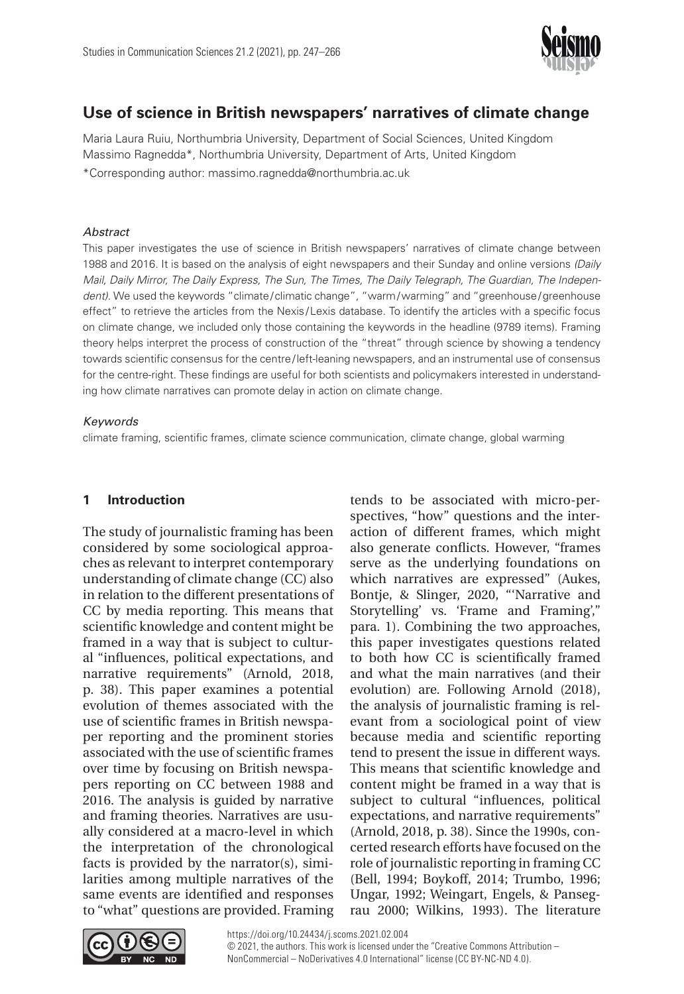

# **Use of science in British newspapers' narratives of climate change**

Maria Laura Ruiu, Northumbria University, Department of Social Sciences, United Kingdom Massimo Ragnedda\*, Northumbria University, Department of Arts, United Kingdom \*Corresponding author: [massimo.ragnedda@northumbria.ac.uk](mailto:massimo.ragnedda@northumbria.ac.uk)

### *Abstract*

This paper investigates the use of science in British newspapers' narratives of climate change between 1988 and 2016. It is based on the analysis of eight newspapers and their Sunday and online versions *(Daily Mail, Daily Mirror, The Daily Express, The Sun, The Times, The Daily Telegraph, The Guardian, The Independent)*. We used the keywords "climate/climatic change", "warm/warming" and "greenhouse/greenhouse effect" to retrieve the articles from the Nexis /Lexis database. To identify the articles with a specific focus on climate change, we included only those containing the keywords in the headline (9789 items). Framing theory helps interpret the process of construction of the "threat" through science by showing a tendency towards scientific consensus for the centre/left-leaning newspapers, and an instrumental use of consensus for the centre-right. These findings are useful for both scientists and policymakers interested in understanding how climate narratives can promote delay in action on climate change.

# *Keywords*

climate framing, scientific frames, climate science communication, climate change, global warming

# **1 Introduction**

The study of journalistic framing has been considered by some sociological approaches as relevant to interpret contemporary understanding of climate change (CC) also in relation to the different presentations of CC by media reporting. This means that scientific knowledge and content might be framed in a way that is subject to cultural "influences, political expectations, and narrative requirements" (Arnold, 2018, p. 38). This paper examines a potential evolution of themes associated with the use of scientific frames in British newspaper reporting and the prominent stories associated with the use of scientific frames over time by focusing on British newspapers reporting on CC between 1988 and 2016. The analysis is guided by narrative and framing theories. Narratives are usually considered at a macro-level in which the interpretation of the chronological facts is provided by the narrator(s), similarities among multiple narratives of the same events are identified and responses to "what" questions are provided. Framing tends to be associated with micro-perspectives, "how" questions and the interaction of different frames, which might also generate conflicts. However, "frames serve as the underlying foundations on which narratives are expressed" (Aukes, Bontje, & Slinger, 2020, "'Narrative and Storytelling' vs. 'Frame and Framing'," para. 1). Combining the two approaches, this paper investigates questions related to both how CC is scientifically framed and what the main narratives (and their evolution) are. Following Arnold (2018), the analysis of journalistic framing is relevant from a sociological point of view because media and scientific reporting tend to present the issue in different ways. This means that scientific knowledge and content might be framed in a way that is subject to cultural "influences, political expectations, and narrative requirements" (Arnold, 2018, p. 38). Since the 1990s, concerted research efforts have focused on the role of journalistic reporting in framing CC (Bell, 1994; Boykoff, 2014; Trumbo, 1996; Ungar, 1992; Weingart, Engels, & Pansegrau 2000; Wilkins, 1993). The literature

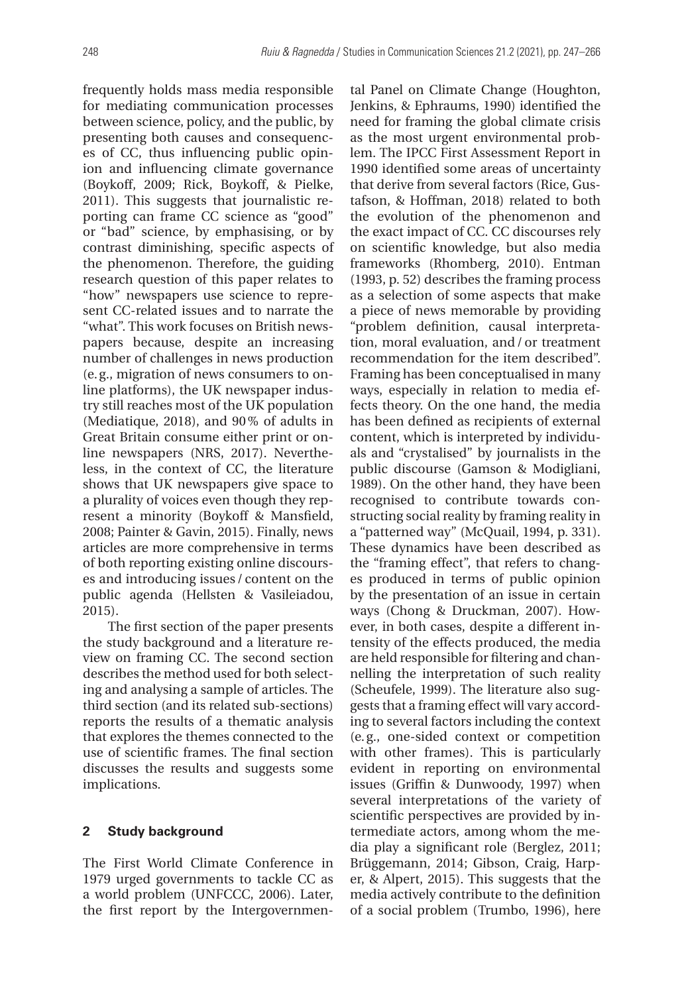frequently holds mass media responsible for mediating communication processes between science, policy, and the public, by presenting both causes and consequences of CC, thus influencing public opinion and influencing climate governance (Boykoff, 2009; Rick, Boykoff, & Pielke, 2011). This suggests that journalistic reporting can frame CC science as "good" or "bad" science, by emphasising, or by contrast diminishing, specific aspects of the phenomenon. Therefore, the guiding research question of this paper relates to "how" newspapers use science to represent CC-related issues and to narrate the "what". This work focuses on British newspapers because, despite an increasing number of challenges in news production (e.g., migration of news consumers to online platforms), the UK newspaper industry still reaches most of the UK population (Mediatique, 2018), and 90% of adults in Great Britain consume either print or online newspapers (NRS, 2017). Nevertheless, in the context of CC, the literature shows that UK newspapers give space to a plurality of voices even though they represent a minority (Boykoff & Mansfield, 2008; Painter & Gavin, 2015). Finally, news articles are more comprehensive in terms of both reporting existing online discourses and introducing issues / content on the public agenda (Hellsten & Vasileiadou, 2015).

The first section of the paper presents the study background and a literature review on framing CC. The second section describes the method used for both selecting and analysing a sample of articles. The third section (and its related sub-sections) reports the results of a thematic analysis that explores the themes connected to the use of scientific frames. The final section discusses the results and suggests some implications.

# **2 Study background**

The First World Climate Conference in 1979 urged governments to tackle CC as a world problem (UNFCCC, 2006). Later, the first report by the Intergovernmental Panel on Climate Change (Houghton, Jenkins, & Ephraums, 1990) identified the need for framing the global climate crisis as the most urgent environmental problem. The IPCC First Assessment Report in 1990 identified some areas of uncertainty that derive from several factors (Rice, Gustafson, & Hoffman, 2018) related to both the evolution of the phenomenon and the exact impact of CC. CC discourses rely on scientific knowledge, but also media frameworks (Rhomberg, 2010). Entman (1993, p. 52) describes the framing process as a selection of some aspects that make a piece of news memorable by providing "problem definition, causal interpretation, moral evaluation, and/or treatment recommendation for the item described". Framing has been conceptualised in many ways, especially in relation to media effects theory. On the one hand, the media has been defined as recipients of external content, which is interpreted by individuals and "crystalised" by journalists in the public discourse (Gamson & Modigliani, 1989). On the other hand, they have been recognised to contribute towards constructing social reality by framing reality in a "patterned way" (McQuail, 1994, p. 331). These dynamics have been described as the "framing effect", that refers to changes produced in terms of public opinion by the presentation of an issue in certain ways (Chong & Druckman, 2007). However, in both cases, despite a different intensity of the effects produced, the media are held responsible for filtering and channelling the interpretation of such reality (Scheufele, 1999). The literature also suggests that a framing effect will vary according to several factors including the context (e.g., one-sided context or competition with other frames). This is particularly evident in reporting on environmental issues (Griffin & Dunwoody, 1997) when several interpretations of the variety of scientific perspectives are provided by intermediate actors, among whom the media play a significant role (Berglez, 2011; Brüggemann, 2014; Gibson, Craig, Harper, & Alpert, 2015). This suggests that the media actively contribute to the definition of a social problem (Trumbo, 1996), here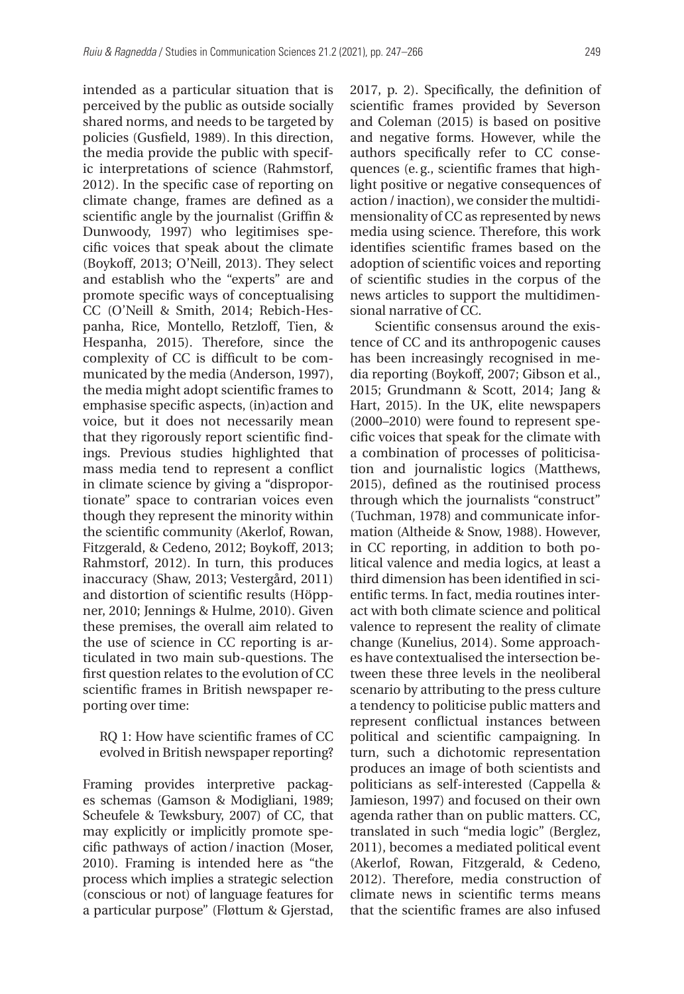intended as a particular situation that is perceived by the public as outside socially shared norms, and needs to be targeted by policies (Gusfield, 1989). In this direction, the media provide the public with specific interpretations of science (Rahmstorf, 2012). In the specific case of reporting on climate change, frames are defined as a scientific angle by the journalist (Griffin & Dunwoody, 1997) who legitimises specific voices that speak about the climate (Boykoff, 2013; O'Neill, 2013). They select and establish who the "experts" are and promote specific ways of conceptualising CC (O'Neill & Smith, 2014; Rebich-Hespanha, Rice, Montello, Retzloff, Tien, & Hespanha, 2015). Therefore, since the complexity of CC is difficult to be communicated by the media (Anderson, 1997), the media might adopt scientific frames to emphasise specific aspects, (in)action and voice, but it does not necessarily mean that they rigorously report scientific findings. Previous studies highlighted that mass media tend to represent a conflict in climate science by giving a "disproportionate" space to contrarian voices even though they represent the minority within the scientific community (Akerlof, Rowan, Fitzgerald, & Cedeno, 2012; Boykoff, 2013; Rahmstorf, 2012). In turn, this produces inaccuracy (Shaw, 2013; Vestergård, 2011) and distortion of scientific results (Höppner, 2010; Jennings & Hulme, 2010). Given these premises, the overall aim related to the use of science in CC reporting is articulated in two main sub-questions. The first question relates to the evolution of CC scientific frames in British newspaper reporting over time:

RQ 1: How have scientific frames of CC evolved in British newspaper reporting?

Framing provides interpretive packages schemas (Gamson & Modigliani, 1989; Scheufele & Tewksbury, 2007) of CC, that may explicitly or implicitly promote specific pathways of action/inaction (Moser, 2010). Framing is intended here as "the process which implies a strategic selection (conscious or not) of language features for a particular purpose" (Fløttum & Gjerstad,

2017, p. 2). Specifically, the definition of scientific frames provided by Severson and Coleman (2015) is based on positive and negative forms. However, while the authors specifically refer to CC consequences (e.g., scientific frames that highlight positive or negative consequences of action/ inaction), we consider the multidimensionality of CC as represented by news media using science. Therefore, this work identifies scientific frames based on the adoption of scientific voices and reporting of scientific studies in the corpus of the news articles to support the multidimensional narrative of CC.

Scientific consensus around the existence of CC and its anthropogenic causes has been increasingly recognised in media reporting (Boykoff, 2007; Gibson et al., 2015; Grundmann & Scott, 2014; Jang & Hart, 2015). In the UK, elite newspapers (2000–2010) were found to represent specific voices that speak for the climate with a combination of processes of politicisation and journalistic logics (Matthews, 2015), defined as the routinised process through which the journalists "construct" (Tuchman, 1978) and communicate information (Altheide & Snow, 1988). However, in CC reporting, in addition to both political valence and media logics, at least a third dimension has been identified in scientific terms. In fact, media routines interact with both climate science and political valence to represent the reality of climate change (Kunelius, 2014). Some approaches have contextualised the intersection between these three levels in the neoliberal scenario by attributing to the press culture a tendency to politicise public matters and represent conflictual instances between political and scientific campaigning. In turn, such a dichotomic representation produces an image of both scientists and politicians as self-interested (Cappella & Jamieson, 1997) and focused on their own agenda rather than on public matters. CC, translated in such "media logic" (Berglez, 2011), becomes a mediated political event (Akerlof, Rowan, Fitzgerald, & Cedeno, 2012). Therefore, media construction of climate news in scientific terms means that the scientific frames are also infused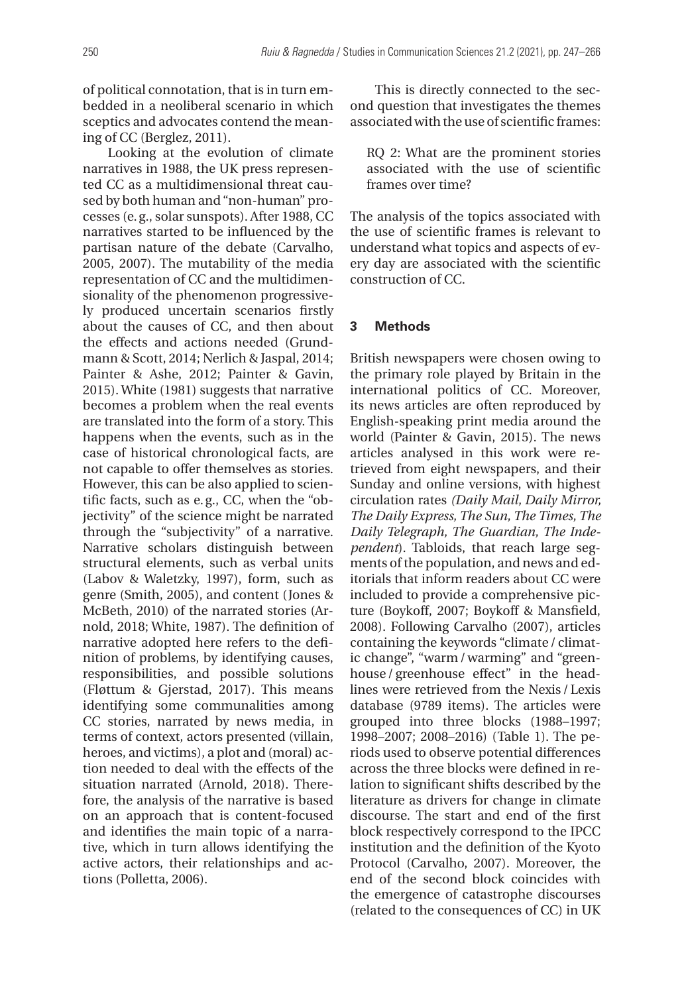of political connotation, that is in turn embedded in a neoliberal scenario in which sceptics and advocates contend the meaning of CC (Berglez, 2011).

Looking at the evolution of climate narratives in 1988, the UK press represented CC as a multidimensional threat caused by both human and "non-human" processes (e.g., solar sunspots). After 1988, CC narratives started to be influenced by the partisan nature of the debate (Carvalho, 2005, 2007). The mutability of the media representation of CC and the multidimensionality of the phenomenon progressively produced uncertain scenarios firstly about the causes of CC, and then about the effects and actions needed (Grundmann & Scott, 2014; Nerlich & Jaspal, 2014; Painter & Ashe, 2012; Painter & Gavin, 2015). White (1981) suggests that narrative becomes a problem when the real events are translated into the form of a story. This happens when the events, such as in the case of historical chronological facts, are not capable to offer themselves as stories. However, this can be also applied to scientific facts, such as e.g., CC, when the "objectivity" of the science might be narrated through the "subjectivity" of a narrative. Narrative scholars distinguish between structural elements, such as verbal units (Labov & Waletzky, 1997), form, such as genre (Smith, 2005), and content (Jones & McBeth, 2010) of the narrated stories (Arnold, 2018; White, 1987). The definition of narrative adopted here refers to the definition of problems, by identifying causes, responsibilities, and possible solutions (Fløttum & Gjerstad, 2017). This means identifying some communalities among CC stories, narrated by news media, in terms of context, actors presented (villain, heroes, and victims), a plot and (moral) action needed to deal with the effects of the situation narrated (Arnold, 2018). Therefore, the analysis of the narrative is based on an approach that is content-focused and identifies the main topic of a narrative, which in turn allows identifying the active actors, their relationships and actions (Polletta, 2006).

This is directly connected to the second question that investigates the themes associated with the use of scientific frames:

RQ 2: What are the prominent stories associated with the use of scientific frames over time?

The analysis of the topics associated with the use of scientific frames is relevant to understand what topics and aspects of every day are associated with the scientific construction of CC.

### **3 Methods**

British newspapers were chosen owing to the primary role played by Britain in the international politics of CC. Moreover, its news articles are often reproduced by English-speaking print media around the world (Painter & Gavin, 2015). The news articles analysed in this work were retrieved from eight newspapers, and their Sunday and online versions, with highest circulation rates *(Daily Mail, Daily Mirror, The Daily Express, The Sun, The Times, The Daily Telegraph, The Guardian, The Independent*). Tabloids, that reach large segments of the population, and news and editorials that inform readers about CC were included to provide a comprehensive picture (Boykoff, 2007; Boykoff & Mansfield, 2008). Following Carvalho (2007), articles containing the keywords "climate/ climatic change", "warm/warming" and "greenhouse/greenhouse effect" in the headlines were retrieved from the Nexis /Lexis database (9789 items). The articles were grouped into three blocks (1988–1997; 1998–2007; 2008–2016) (Table 1). The periods used to observe potential differences across the three blocks were defined in relation to significant shifts described by the literature as drivers for change in climate discourse. The start and end of the first block respectively correspond to the IPCC institution and the definition of the Kyoto Protocol (Carvalho, 2007). Moreover, the end of the second block coincides with the emergence of catastrophe discourses (related to the consequences of CC) in UK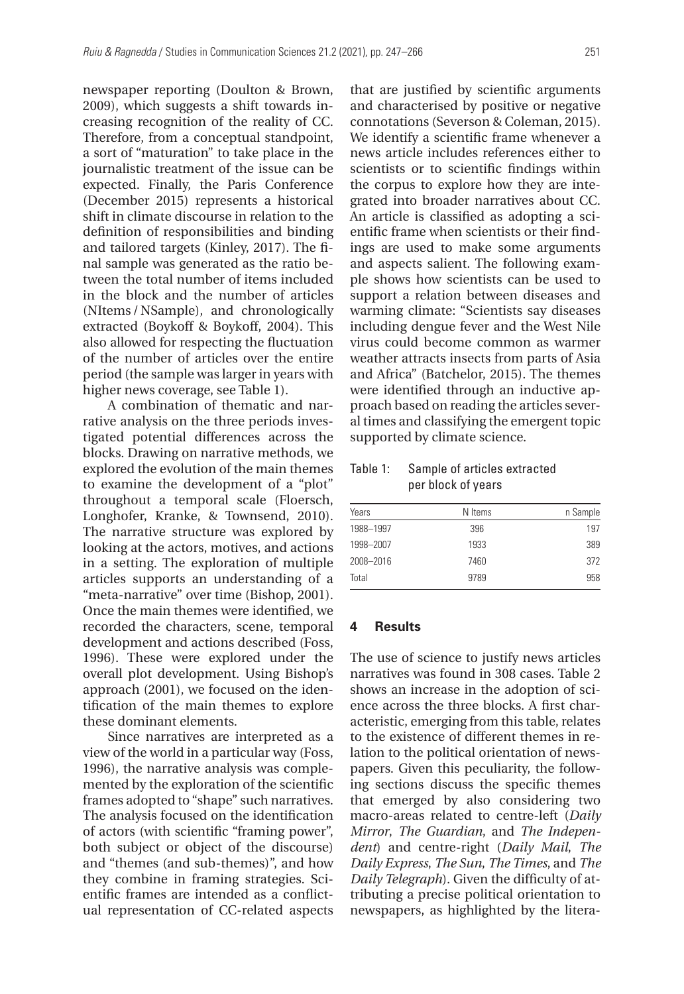newspaper reporting (Doulton & Brown, 2009), which suggests a shift towards increasing recognition of the reality of CC. Therefore, from a conceptual standpoint, a sort of "maturation" to take place in the journalistic treatment of the issue can be expected. Finally, the Paris Conference (December 2015) represents a historical shift in climate discourse in relation to the definition of responsibilities and binding and tailored targets (Kinley, 2017). The final sample was generated as the ratio between the total number of items included in the block and the number of articles (NItems /NSample), and chronologically extracted (Boykoff & Boykoff, 2004). This also allowed for respecting the fluctuation of the number of articles over the entire period (the sample was larger in years with higher news coverage, see Table 1).

A combination of thematic and narrative analysis on the three periods investigated potential differences across the blocks. Drawing on narrative methods, we explored the evolution of the main themes to examine the development of a "plot" throughout a temporal scale (Floersch, Longhofer, Kranke, & Townsend, 2010). The narrative structure was explored by looking at the actors, motives, and actions in a setting. The exploration of multiple articles supports an understanding of a "meta-narrative" over time (Bishop, 2001). Once the main themes were identified, we recorded the characters, scene, temporal development and actions described (Foss, 1996). These were explored under the overall plot development. Using Bishop's approach (2001), we focused on the identification of the main themes to explore these dominant elements.

Since narratives are interpreted as a view of the world in a particular way (Foss, 1996), the narrative analysis was complemented by the exploration of the scientific frames adopted to "shape" such narratives. The analysis focused on the identification of actors (with scientific "framing power", both subject or object of the discourse) and "themes (and sub-themes)", and how they combine in framing strategies. Scientific frames are intended as a conflictual representation of CC-related aspects

that are justified by scientific arguments and characterised by positive or negative connotations (Severson & Coleman, 2015). We identify a scientific frame whenever a news article includes references either to scientists or to scientific findings within the corpus to explore how they are integrated into broader narratives about CC. An article is classified as adopting a scientific frame when scientists or their findings are used to make some arguments and aspects salient. The following example shows how scientists can be used to support a relation between diseases and warming climate: "Scientists say diseases including dengue fever and the West Nile virus could become common as warmer weather attracts insects from parts of Asia and Africa" (Batchelor, 2015). The themes were identified through an inductive approach based on reading the articles several times and classifying the emergent topic supported by climate science.

Table 1: Sample of articles extracted per block of years

| N Items | n Sample |
|---------|----------|
| 396     | 197      |
| 1933    | 389      |
| 7460    | 372      |
| 9789    | 958      |
|         |          |

### **4 Results**

The use of science to justify news articles narratives was found in 308 cases. Table 2 shows an increase in the adoption of science across the three blocks. A first characteristic, emerging from this table, relates to the existence of different themes in relation to the political orientation of newspapers. Given this peculiarity, the following sections discuss the specific themes that emerged by also considering two macro-areas related to centre-left (*Daily Mirror*, *The Guardian*, and *The Independent*) and centre-right (*Daily Mail*, *The Daily Express*, *The Sun*, *The Times*, and *The Daily Telegraph*). Given the difficulty of attributing a precise political orientation to newspapers, as highlighted by the litera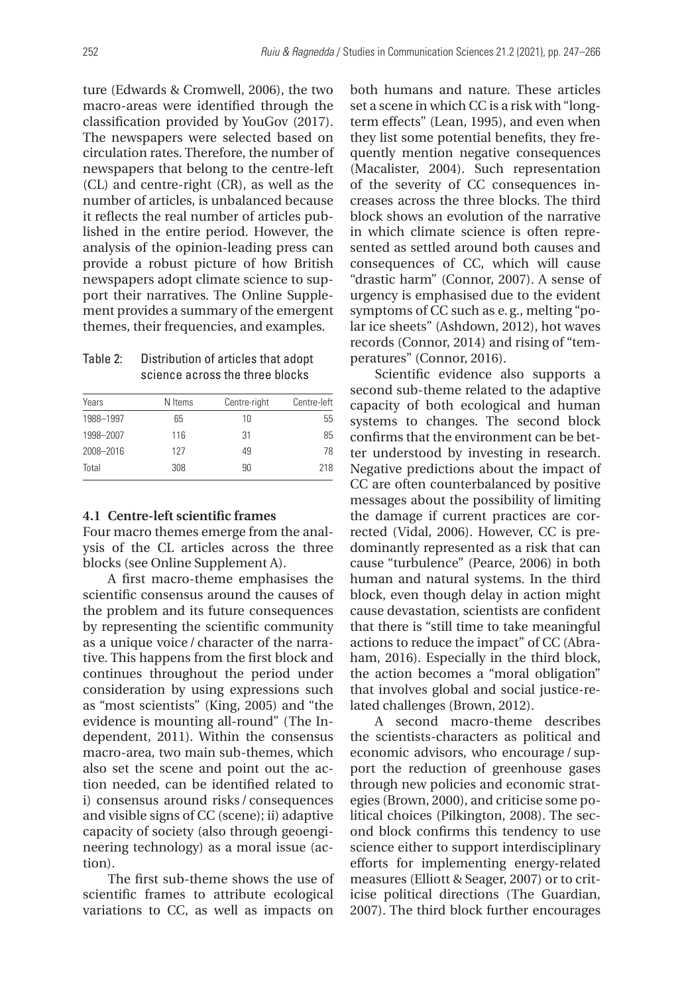ture (Edwards & Cromwell, 2006), the two macro-areas were identified through the classification provided by YouGov (2017). The newspapers were selected based on circulation rates. Therefore, the number of newspapers that belong to the centre-left (CL) and centre-right (CR), as well as the number of articles, is unbalanced because it reflects the real number of articles published in the entire period. However, the analysis of the opinion-leading press can provide a robust picture of how British newspapers adopt climate science to support their narratives. The Online Supplement provides a summary of the emergent themes, their frequencies, and examples.

# Table 2: Distribution of articles that adopt science across the three blocks

| Years     | N Items | Centre-right | Centre-left |
|-----------|---------|--------------|-------------|
| 1988-1997 | 65      | 10           | 55          |
| 1998-2007 | 116     | 31           | 85          |
| 2008-2016 | 127     | 49           | 78          |
| Total     | 308     | 90           | 218         |

### **4.1 Centre-left scientific frames**

Four macro themes emerge from the analysis of the CL articles across the three blocks (see Online Supplement A).

A first macro-theme emphasises the scientific consensus around the causes of the problem and its future consequences by representing the scientific community as a unique voice / character of the narrative. This happens from the first block and continues throughout the period under consideration by using expressions such as "most scientists" (King, 2005) and "the evidence is mounting all-round" (The Independent, 2011). Within the consensus macro-area, two main sub-themes, which also set the scene and point out the action needed, can be identified related to i) consensus around risks / consequences and visible signs of CC (scene); ii) adaptive capacity of society (also through geoengineering technology) as a moral issue (action).

The first sub-theme shows the use of scientific frames to attribute ecological variations to CC, as well as impacts on

both humans and nature. These articles set a scene in which CC is a risk with "longterm effects" (Lean, 1995), and even when they list some potential benefits, they frequently mention negative consequences (Macalister, 2004). Such representation of the severity of CC consequences increases across the three blocks. The third block shows an evolution of the narrative in which climate science is often represented as settled around both causes and consequences of CC, which will cause "drastic harm" (Connor, 2007). A sense of urgency is emphasised due to the evident symptoms of CC such as e.g., melting "polar ice sheets" (Ashdown, 2012), hot waves records (Connor, 2014) and rising of "temperatures" (Connor, 2016).

Scientific evidence also supports a second sub-theme related to the adaptive capacity of both ecological and human systems to changes. The second block confirms that the environment can be better understood by investing in research. Negative predictions about the impact of CC are often counterbalanced by positive messages about the possibility of limiting the damage if current practices are corrected (Vidal, 2006). However, CC is predominantly represented as a risk that can cause "turbulence" (Pearce, 2006) in both human and natural systems. In the third block, even though delay in action might cause devastation, scientists are confident that there is "still time to take meaningful actions to reduce the impact" of CC (Abraham, 2016). Especially in the third block, the action becomes a "moral obligation" that involves global and social justice-related challenges (Brown, 2012).

A second macro-theme describes the scientists-characters as political and economic advisors, who encourage/ support the reduction of greenhouse gases through new policies and economic strategies (Brown, 2000), and criticise some political choices (Pilkington, 2008). The second block confirms this tendency to use science either to support interdisciplinary efforts for implementing energy-related measures (Elliott & Seager, 2007) or to criticise political directions (The Guardian, 2007). The third block further encourages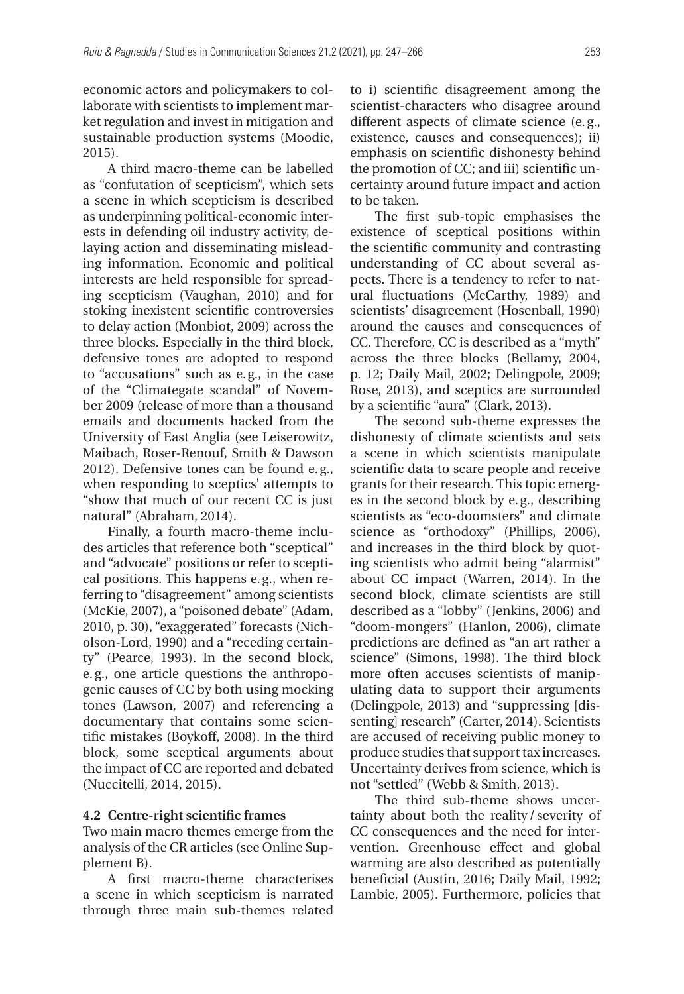economic actors and policymakers to collaborate with scientists to implement market regulation and invest in mitigation and sustainable production systems (Moodie, 2015).

A third macro-theme can be labelled as "confutation of scepticism", which sets a scene in which scepticism is described as underpinning political-economic interests in defending oil industry activity, delaying action and disseminating misleading information. Economic and political interests are held responsible for spreading scepticism (Vaughan, 2010) and for stoking inexistent scientific controversies to delay action (Monbiot, 2009) across the three blocks. Especially in the third block, defensive tones are adopted to respond to "accusations" such as e.g., in the case of the "Climategate scandal" of November 2009 (release of more than a thousand emails and documents hacked from the University of East Anglia (see Leiserowitz, Maibach, Roser-Renouf, Smith & Dawson 2012). Defensive tones can be found e.g., when responding to sceptics' attempts to "show that much of our recent CC is just natural" (Abraham, 2014).

Finally, a fourth macro-theme includes articles that reference both "sceptical" and "advocate" positions or refer to sceptical positions. This happens e.g., when referring to "disagreement" among scientists (McKie, 2007), a "poisoned debate" (Adam, 2010, p. 30), "exaggerated" forecasts (Nicholson-Lord, 1990) and a "receding certainty" (Pearce, 1993). In the second block, e.g., one article questions the anthropogenic causes of CC by both using mocking tones (Lawson, 2007) and referencing a documentary that contains some scientific mistakes (Boykoff, 2008). In the third block, some sceptical arguments about the impact of CC are reported and debated (Nuccitelli, 2014, 2015).

### **4.2 Centre-right scientific frames**

Two main macro themes emerge from the analysis of the CR articles (see Online Supplement B).

A first macro-theme characterises a scene in which scepticism is narrated through three main sub-themes related

to i) scientific disagreement among the scientist-characters who disagree around different aspects of climate science (e.g., existence, causes and consequences); ii) emphasis on scientific dishonesty behind the promotion of CC; and iii) scientific uncertainty around future impact and action to be taken.

The first sub-topic emphasises the existence of sceptical positions within the scientific community and contrasting understanding of CC about several aspects. There is a tendency to refer to natural fluctuations (McCarthy, 1989) and scientists' disagreement (Hosenball, 1990) around the causes and consequences of CC. Therefore, CC is described as a "myth" across the three blocks (Bellamy, 2004, p. 12; Daily Mail, 2002; Delingpole, 2009; Rose, 2013), and sceptics are surrounded by a scientific "aura" (Clark, 2013).

The second sub-theme expresses the dishonesty of climate scientists and sets a scene in which scientists manipulate scientific data to scare people and receive grants for their research. This topic emerges in the second block by e.g., describing scientists as "eco-doomsters" and climate science as "orthodoxy" (Phillips, 2006), and increases in the third block by quoting scientists who admit being "alarmist" about CC impact (Warren, 2014). In the second block, climate scientists are still described as a "lobby" (Jenkins, 2006) and "doom-mongers" (Hanlon, 2006), climate predictions are defined as "an art rather a science" (Simons, 1998). The third block more often accuses scientists of manipulating data to support their arguments (Delingpole, 2013) and "suppressing [dissenting] research" (Carter, 2014). Scientists are accused of receiving public money to produce studies that support tax increases. Uncertainty derives from science, which is not "settled" (Webb & Smith, 2013).

The third sub-theme shows uncertainty about both the reality/ severity of CC consequences and the need for intervention. Greenhouse effect and global warming are also described as potentially beneficial (Austin, 2016; Daily Mail, 1992; Lambie, 2005). Furthermore, policies that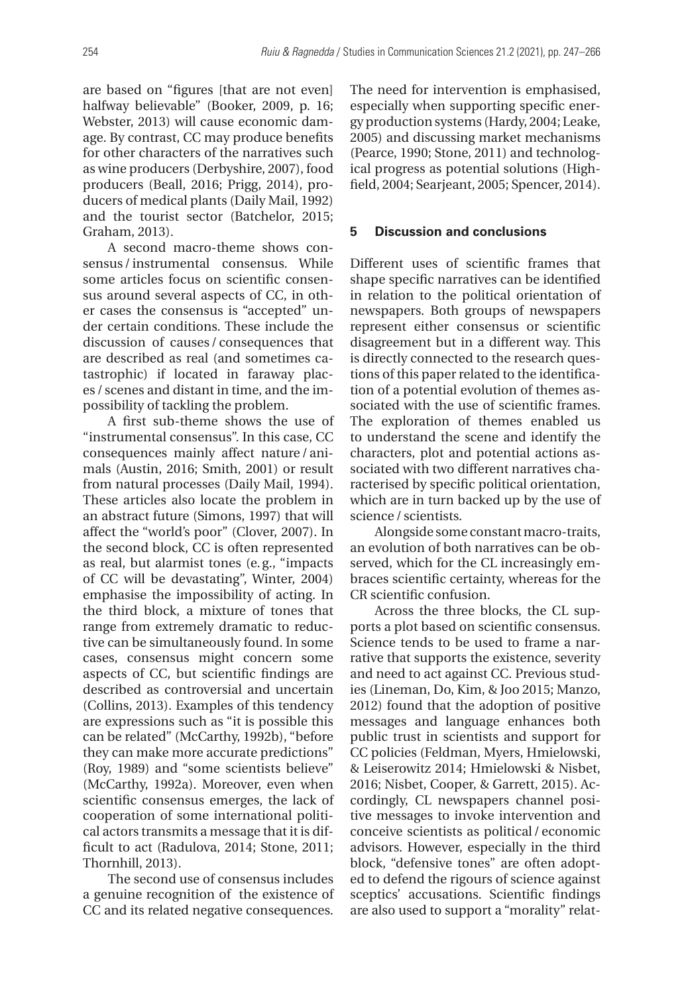are based on "figures [that are not even] halfway believable" (Booker, 2009, p. 16; Webster, 2013) will cause economic damage. By contrast, CC may produce benefits for other characters of the narratives such as wine producers (Derbyshire, 2007), food producers (Beall, 2016; Prigg, 2014), producers of medical plants (Daily Mail, 1992) and the tourist sector (Batchelor, 2015; Graham, 2013).

A second macro-theme shows consensus / instrumental consensus. While some articles focus on scientific consensus around several aspects of CC, in other cases the consensus is "accepted" under certain conditions. These include the discussion of causes / consequences that are described as real (and sometimes catastrophic) if located in faraway places / scenes and distant in time, and the impossibility of tackling the problem.

A first sub-theme shows the use of "instrumental consensus". In this case, CC consequences mainly affect nature/animals (Austin, 2016; Smith, 2001) or result from natural processes (Daily Mail, 1994). These articles also locate the problem in an abstract future (Simons, 1997) that will affect the "world's poor" (Clover, 2007). In the second block, CC is often represented as real, but alarmist tones (e.g., "impacts of CC will be devastating", Winter, 2004) emphasise the impossibility of acting. In the third block, a mixture of tones that range from extremely dramatic to reductive can be simultaneously found. In some cases, consensus might concern some aspects of CC, but scientific findings are described as controversial and uncertain (Collins, 2013). Examples of this tendency are expressions such as "it is possible this can be related" (McCarthy, 1992b), "before they can make more accurate predictions" (Roy, 1989) and "some scientists believe" (McCarthy, 1992a). Moreover, even when scientific consensus emerges, the lack of cooperation of some international political actors transmits a message that it is difficult to act (Radulova, 2014; Stone, 2011; Thornhill, 2013).

The second use of consensus includes a genuine recognition of the existence of CC and its related negative consequences.

The need for intervention is emphasised, especially when supporting specific energy production systems (Hardy, 2004; Leake, 2005) and discussing market mechanisms (Pearce, 1990; Stone, 2011) and technological progress as potential solutions (Highfield, 2004; Searjeant, 2005; Spencer, 2014).

### **5 Discussion and conclusions**

Different uses of scientific frames that shape specific narratives can be identified in relation to the political orientation of newspapers. Both groups of newspapers represent either consensus or scientific disagreement but in a different way. This is directly connected to the research questions of this paper related to the identification of a potential evolution of themes associated with the use of scientific frames. The exploration of themes enabled us to understand the scene and identify the characters, plot and potential actions associated with two different narratives characterised by specific political orientation, which are in turn backed up by the use of science/ scientists.

Alongside some constant macro-traits, an evolution of both narratives can be observed, which for the CL increasingly embraces scientific certainty, whereas for the CR scientific confusion.

Across the three blocks, the CL supports a plot based on scientific consensus. Science tends to be used to frame a narrative that supports the existence, severity and need to act against CC. Previous studies (Lineman, Do, Kim, & Joo 2015; Manzo, 2012) found that the adoption of positive messages and language enhances both public trust in scientists and support for CC policies (Feldman, Myers, Hmielowski, & Leiserowitz 2014; Hmielowski & Nisbet, 2016; Nisbet, Cooper, & Garrett, 2015). Accordingly, CL newspapers channel positive messages to invoke intervention and conceive scientists as political /economic advisors. However, especially in the third block, "defensive tones" are often adopted to defend the rigours of science against sceptics' accusations. Scientific findings are also used to support a "morality" relat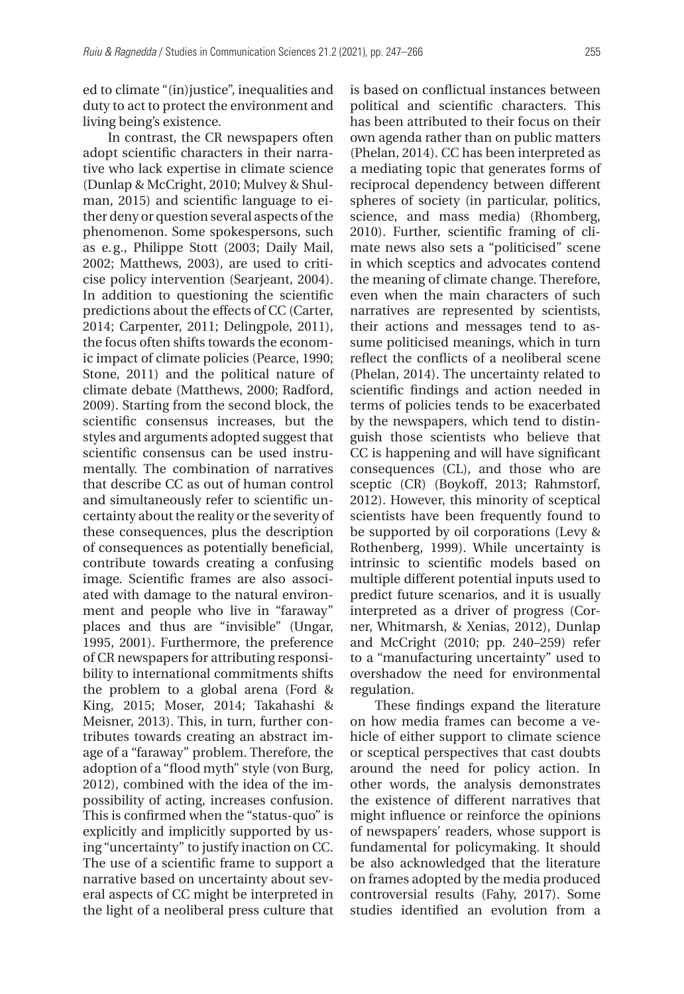ed to climate "(in)justice", inequalities and duty to act to protect the environment and living being's existence.

In contrast, the CR newspapers often adopt scientific characters in their narrative who lack expertise in climate science (Dunlap & McCright, 2010; Mulvey & Shulman, 2015) and scientific language to either deny or question several aspects of the phenomenon. Some spokespersons, such as e.g., Philippe Stott (2003; Daily Mail, 2002; Matthews, 2003), are used to criticise policy intervention (Searjeant, 2004). In addition to questioning the scientific predictions about the effects of CC (Carter, 2014; Carpenter, 2011; Delingpole, 2011), the focus often shifts towards the economic impact of climate policies (Pearce, 1990; Stone, 2011) and the political nature of climate debate (Matthews, 2000; Radford, 2009). Starting from the second block, the scientific consensus increases, but the styles and arguments adopted suggest that scientific consensus can be used instrumentally. The combination of narratives that describe CC as out of human control and simultaneously refer to scientific uncertainty about the reality or the severity of these consequences, plus the description of consequences as potentially beneficial, contribute towards creating a confusing image. Scientific frames are also associated with damage to the natural environment and people who live in "faraway" places and thus are "invisible" (Ungar, 1995, 2001). Furthermore, the preference of CR newspapers for attributing responsibility to international commitments shifts the problem to a global arena (Ford & King, 2015; Moser, 2014; Takahashi & Meisner, 2013). This, in turn, further contributes towards creating an abstract image of a "faraway" problem. Therefore, the adoption of a "flood myth" style (von Burg, 2012), combined with the idea of the impossibility of acting, increases confusion. This is confirmed when the "status-quo" is explicitly and implicitly supported by using "uncertainty" to justify inaction on CC. The use of a scientific frame to support a narrative based on uncertainty about several aspects of CC might be interpreted in the light of a neoliberal press culture that

is based on conflictual instances between political and scientific characters. This has been attributed to their focus on their own agenda rather than on public matters (Phelan, 2014). CC has been interpreted as a mediating topic that generates forms of reciprocal dependency between different spheres of society (in particular, politics, science, and mass media) (Rhomberg, 2010). Further, scientific framing of climate news also sets a "politicised" scene in which sceptics and advocates contend the meaning of climate change. Therefore, even when the main characters of such narratives are represented by scientists, their actions and messages tend to assume politicised meanings, which in turn reflect the conflicts of a neoliberal scene (Phelan, 2014). The uncertainty related to scientific findings and action needed in terms of policies tends to be exacerbated by the newspapers, which tend to distinguish those scientists who believe that CC is happening and will have significant consequences (CL), and those who are sceptic (CR) (Boykoff, 2013; Rahmstorf, 2012). However, this minority of sceptical scientists have been frequently found to be supported by oil corporations (Levy & Rothenberg, 1999). While uncertainty is intrinsic to scientific models based on multiple different potential inputs used to predict future scenarios, and it is usually interpreted as a driver of progress (Corner, Whitmarsh, & Xenias, 2012), Dunlap and McCright (2010; pp. 240–259) refer to a "manufacturing uncertainty" used to overshadow the need for environmental regulation.

These findings expand the literature on how media frames can become a vehicle of either support to climate science or sceptical perspectives that cast doubts around the need for policy action. In other words, the analysis demonstrates the existence of different narratives that might influence or reinforce the opinions of newspapers' readers, whose support is fundamental for policymaking. It should be also acknowledged that the literature on frames adopted by the media produced controversial results (Fahy, 2017). Some studies identified an evolution from a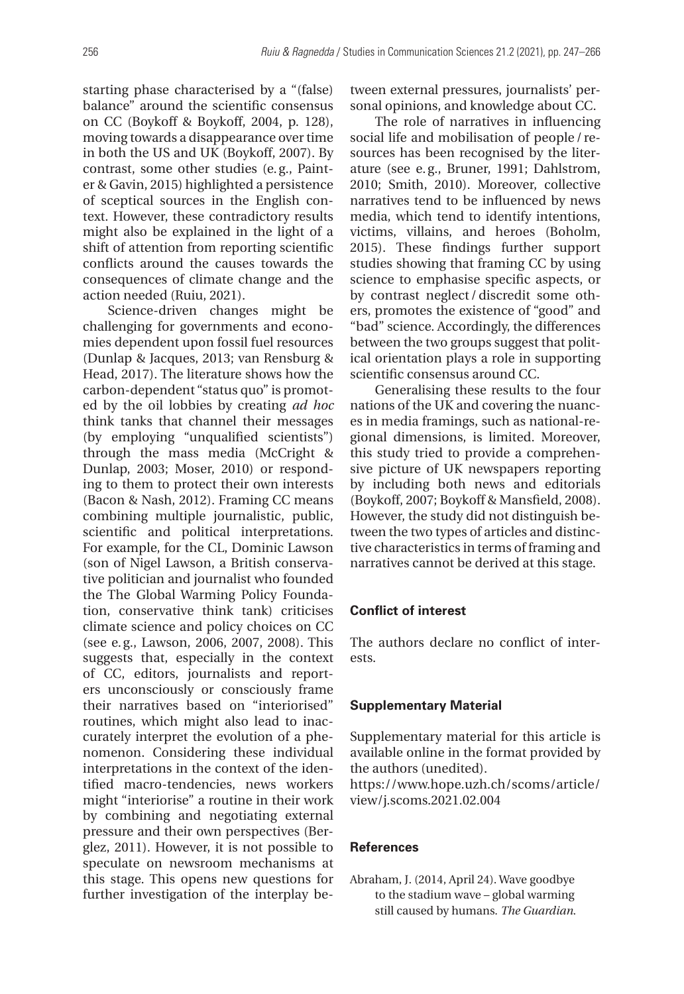starting phase characterised by a "(false) balance" around the scientific consensus on CC (Boykoff & Boykoff, 2004, p. 128), moving towards a disappearance over time in both the US and UK (Boykoff, 2007). By contrast, some other studies (e.g., Painter & Gavin, 2015) highlighted a persistence of sceptical sources in the English context. However, these contradictory results might also be explained in the light of a shift of attention from reporting scientific conflicts around the causes towards the consequences of climate change and the action needed (Ruiu, 2021).

Science-driven changes might be challenging for governments and economies dependent upon fossil fuel resources (Dunlap & Jacques, 2013; van Rensburg & Head, 2017). The literature shows how the carbon-dependent "status quo" is promoted by the oil lobbies by creating *ad hoc* think tanks that channel their messages (by employing "unqualified scientists") through the mass media (McCright & Dunlap, 2003; Moser, 2010) or responding to them to protect their own interests (Bacon & Nash, 2012). Framing CC means combining multiple journalistic, public, scientific and political interpretations. For example, for the CL, Dominic Lawson (son of Nigel Lawson, a British conservative politician and journalist who founded the The Global Warming Policy Foundation, conservative think tank) criticises climate science and policy choices on CC (see e.g., Lawson, 2006, 2007, 2008). This suggests that, especially in the context of CC, editors, journalists and reporters unconsciously or consciously frame their narratives based on "interiorised" routines, which might also lead to inaccurately interpret the evolution of a phenomenon. Considering these individual interpretations in the context of the identified macro-tendencies, news workers might "interiorise" a routine in their work by combining and negotiating external pressure and their own perspectives (Berglez, 2011). However, it is not possible to speculate on newsroom mechanisms at this stage. This opens new questions for further investigation of the interplay be-

tween external pressures, journalists' personal opinions, and knowledge about CC.

The role of narratives in influencing social life and mobilisation of people/ resources has been recognised by the literature (see e.g., Bruner, 1991; Dahlstrom, 2010; Smith, 2010). Moreover, collective narratives tend to be influenced by news media, which tend to identify intentions, victims, villains, and heroes (Boholm, 2015). These findings further support studies showing that framing CC by using science to emphasise specific aspects, or by contrast neglect /discredit some others, promotes the existence of "good" and "bad" science. Accordingly, the differences between the two groups suggest that political orientation plays a role in supporting scientific consensus around CC.

Generalising these results to the four nations of the UK and covering the nuances in media framings, such as national-regional dimensions, is limited. Moreover, this study tried to provide a comprehensive picture of UK newspapers reporting by including both news and editorials (Boykoff, 2007; Boykoff & Mansfield, 2008). However, the study did not distinguish between the two types of articles and distinctive characteristics in terms of framing and narratives cannot be derived at this stage.

#### **Conflict of interest**

The authors declare no conflict of interests.

#### **Supplementary Material**

Supplementary material for this article is available online in the format provided by the authors (unedited).

[https://www.hope.uzh.ch/scoms/article/](https://www.hope.uzh.ch/scoms/article/view/j.scoms.2021.02.004) [view/j.scoms.2021.02.004](https://www.hope.uzh.ch/scoms/article/view/j.scoms.2021.02.004)

### **References**

Abraham, J. (2014, April 24). Wave goodbye to the stadium wave – global warming still caused by humans. *The Guardian*.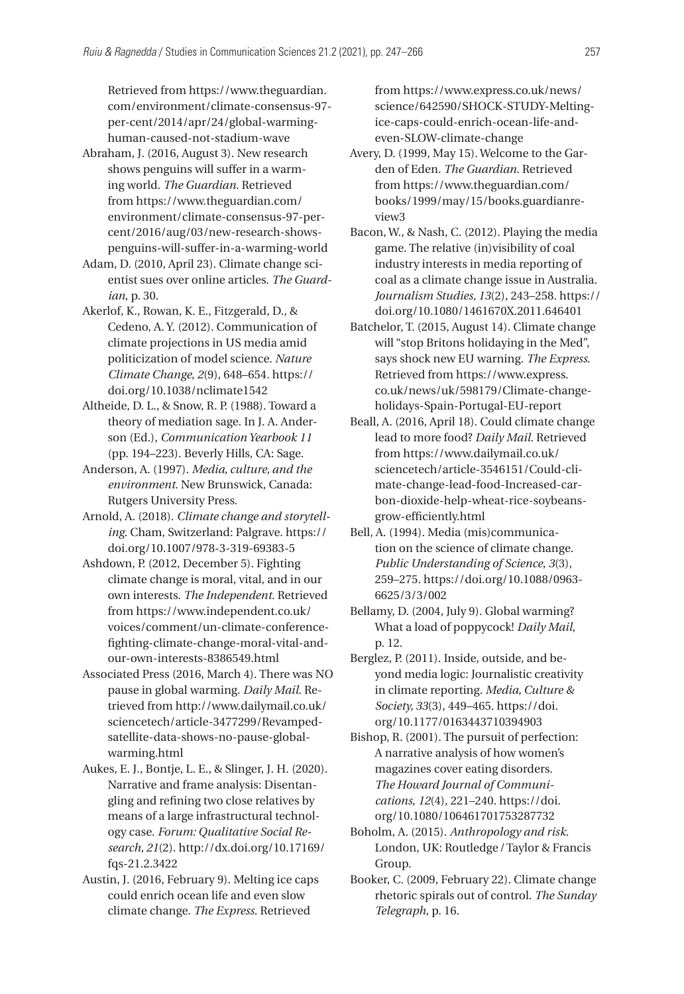Retrieved from [https://www.theguardian.](https://www.theguardian.com/environment/climate-consensus-97-per-cent/2014/apr/24/global-warming-human-caused-not-stadium-wave) [com/environment/climate-consensus-97](https://www.theguardian.com/environment/climate-consensus-97-per-cent/2014/apr/24/global-warming-human-caused-not-stadium-wave)[per-cent/2014/apr/24/global-warming](https://www.theguardian.com/environment/climate-consensus-97-per-cent/2014/apr/24/global-warming-human-caused-not-stadium-wave)[human-caused-not-stadium-wave](https://www.theguardian.com/environment/climate-consensus-97-per-cent/2014/apr/24/global-warming-human-caused-not-stadium-wave)

- Abraham, J. (2016, August 3). New research shows penguins will suffer in a warming world. *The Guardian*. Retrieved from [https://www.theguardian.com/](https://www.theguardian.com/environment/climate-consensus-97-per-cent/2016/aug/03/new-research-shows-penguins-will-suffer-in-a-warming-world) [environment/climate-consensus-97-per](https://www.theguardian.com/environment/climate-consensus-97-per-cent/2016/aug/03/new-research-shows-penguins-will-suffer-in-a-warming-world)[cent/2016/aug/03/new-research-shows](https://www.theguardian.com/environment/climate-consensus-97-per-cent/2016/aug/03/new-research-shows-penguins-will-suffer-in-a-warming-world)[penguins-will-suffer-in-a-warming-world](https://www.theguardian.com/environment/climate-consensus-97-per-cent/2016/aug/03/new-research-shows-penguins-will-suffer-in-a-warming-world)
- Adam, D. (2010, April 23). Climate change scientist sues over online articles. *The Guardian*, p. 30.
- Akerlof, K., Rowan, K. E., Fitzgerald, D., & Cedeno, A. Y. (2012). Communication of climate projections in US media amid politicization of model science. *Nature Climate Change*, *2*(9), 648–654. [https://](https://doi.org/10.1038/nclimate1542) [doi.org/10.1038/nclimate1542](https://doi.org/10.1038/nclimate1542)
- Altheide, D. L., & Snow, R. P. (1988). Toward a theory of mediation sage. In J. A. Anderson (Ed.), *Communication Yearbook 11* (pp. 194–223). Beverly Hills, CA: Sage.
- Anderson, A. (1997). *Media, culture, and the environment*. New Brunswick, Canada: Rutgers University Press.
- Arnold, A. (2018). *Climate change and storytelling*. Cham, Switzerland: Palgrave. [https://](https://doi.org/10.1007/978-3-319-69383-5) [doi.org/10.1007/978-3-319-69383-5](https://doi.org/10.1007/978-3-319-69383-5)
- Ashdown, P. (2012, December 5). Fighting climate change is moral, vital, and in our own interests. *The Independent*. Retrieved from [https://www.independent.co.uk/](https://www.independent.co.uk/voices/comment/un-climate-conference-fighting-climate-change-moral-vital-and-our-own-interests-8386549.html) [voices/comment/un-climate-conference](https://www.independent.co.uk/voices/comment/un-climate-conference-fighting-climate-change-moral-vital-and-our-own-interests-8386549.html)[fighting-climate-change-moral-vital-and](https://www.independent.co.uk/voices/comment/un-climate-conference-fighting-climate-change-moral-vital-and-our-own-interests-8386549.html)[our-own-interests-8386549.html](https://www.independent.co.uk/voices/comment/un-climate-conference-fighting-climate-change-moral-vital-and-our-own-interests-8386549.html)
- Associated Press (2016, March 4). There was NO pause in global warming. *Daily Mail*. Retrieved from [http://www.dailymail.co.uk/](http://www.dailymail.co.uk/sciencetech/article-3477299/Revamped-satellite-data-shows-no-pause-global-warming.html) [sciencetech/article-3477299/Revamped](http://www.dailymail.co.uk/sciencetech/article-3477299/Revamped-satellite-data-shows-no-pause-global-warming.html)[satellite-data-shows-no-pause-global](http://www.dailymail.co.uk/sciencetech/article-3477299/Revamped-satellite-data-shows-no-pause-global-warming.html)[warming.html](http://www.dailymail.co.uk/sciencetech/article-3477299/Revamped-satellite-data-shows-no-pause-global-warming.html)
- Aukes, E. J., Bontje, L. E., & Slinger, J. H. (2020). Narrative and frame analysis: Disentangling and refining two close relatives by means of a large infrastructural technology case. *Forum: Qualitative Social Research, 21*(2). [http://dx.doi.org/10.17169/](http://dx.doi.org/10.17169/fqs-21.2.3422) [fqs-21.2.3422](http://dx.doi.org/10.17169/fqs-21.2.3422)
- Austin, J. (2016, February 9). Melting ice caps could enrich ocean life and even slow climate change. *The Express*. Retrieved

from [https://www.express.co.uk/news/](https://www.express.co.uk/news/science/642590/SHOCK-STUDY-Melting-ice-caps-could-enrich-ocean-life-and-even-SLOW-climate-change) [science/642590/SHOCK-STUDY-Melting](https://www.express.co.uk/news/science/642590/SHOCK-STUDY-Melting-ice-caps-could-enrich-ocean-life-and-even-SLOW-climate-change)[ice-caps-could-enrich-ocean-life-and](https://www.express.co.uk/news/science/642590/SHOCK-STUDY-Melting-ice-caps-could-enrich-ocean-life-and-even-SLOW-climate-change)[even-SLOW-climate-change](https://www.express.co.uk/news/science/642590/SHOCK-STUDY-Melting-ice-caps-could-enrich-ocean-life-and-even-SLOW-climate-change)

- Avery, D. (1999, May 15). Welcome to the Garden of Eden. *The Guardian*. Retrieved from [https://www.theguardian.com/](https://www.theguardian.com/books/1999/may/15/books.guardianreview3) [books/1999/may/15/books.guardianre](https://www.theguardian.com/books/1999/may/15/books.guardianreview3)[view3](https://www.theguardian.com/books/1999/may/15/books.guardianreview3)
- Bacon, W., & Nash, C. (2012). Playing the media game. The relative (in)visibility of coal industry interests in media reporting of coal as a climate change issue in Australia. *Journalism Studies, 13*(2), 243–258. [https://](https://doi.org/10.1080/1461670X.2011.646401) [doi.org/10.1080/1461670X.2011.646401](https://doi.org/10.1080/1461670X.2011.646401)
- Batchelor, T. (2015, August 14). Climate change will "stop Britons holidaying in the Med", says shock new EU warning. *The Express*. Retrieved from [https://www.express.](https://www.express.co.uk/news/uk/598179/Climate-change-holidays-Spain-Portugal-EU-report) [co.uk/news/uk/598179/Climate-change](https://www.express.co.uk/news/uk/598179/Climate-change-holidays-Spain-Portugal-EU-report)[holidays-Spain-Portugal-EU-report](https://www.express.co.uk/news/uk/598179/Climate-change-holidays-Spain-Portugal-EU-report)
- Beall, A. (2016, April 18). Could climate change lead to more food? *Daily Mail*. Retrieved from [https://www.dailymail.co.uk/](https://www.dailymail.co.uk/sciencetech/article-3546151/Could-climate-change-lead-food-Increased-carbon-dioxide-help-wheat-rice-soybeans-grow-efficiently.html) [sciencetech/article-3546151/Could-cli](https://www.dailymail.co.uk/sciencetech/article-3546151/Could-climate-change-lead-food-Increased-carbon-dioxide-help-wheat-rice-soybeans-grow-efficiently.html)[mate-change-lead-food-Increased-car](https://www.dailymail.co.uk/sciencetech/article-3546151/Could-climate-change-lead-food-Increased-carbon-dioxide-help-wheat-rice-soybeans-grow-efficiently.html)[bon-dioxide-help-wheat-rice-soybeans](https://www.dailymail.co.uk/sciencetech/article-3546151/Could-climate-change-lead-food-Increased-carbon-dioxide-help-wheat-rice-soybeans-grow-efficiently.html)[grow-efficiently.html](https://www.dailymail.co.uk/sciencetech/article-3546151/Could-climate-change-lead-food-Increased-carbon-dioxide-help-wheat-rice-soybeans-grow-efficiently.html)
- Bell, A. (1994). Media (mis)communication on the science of climate change. *Public Understanding of Science*, *3*(3), 259–275. [https://doi.org/10.1088/0963-](https://doi.org/10.1088/0963-6625/3/3/002)[6625/3/3/002](https://doi.org/10.1088/0963-6625/3/3/002)
- Bellamy, D. (2004, July 9). Global warming? What a load of poppycock! *Daily Mail*, p. 12.
- Berglez, P. (2011). Inside, outside, and beyond media logic: Journalistic creativity in climate reporting. *Media, Culture & Society, 33*(3), 449–465. [https://doi.](https://doi.org/10.1177/0163443710394903) [org/10.1177/0163443710394903](https://doi.org/10.1177/0163443710394903)
- Bishop, R. (2001). The pursuit of perfection: A narrative analysis of how women's magazines cover eating disorders. *The Howard Journal of Communications*, *12*(4), 221–240. [https://doi.](https://doi.org/10.1080/106461701753287732) [org/10.1080/106461701753287732](https://doi.org/10.1080/106461701753287732)
- Boholm, A. (2015). *Anthropology and risk*. London, UK: Routledge/Taylor & Francis Group.
- Booker, C. (2009, February 22). Climate change rhetoric spirals out of control. *The Sunday Telegraph*, p. 16.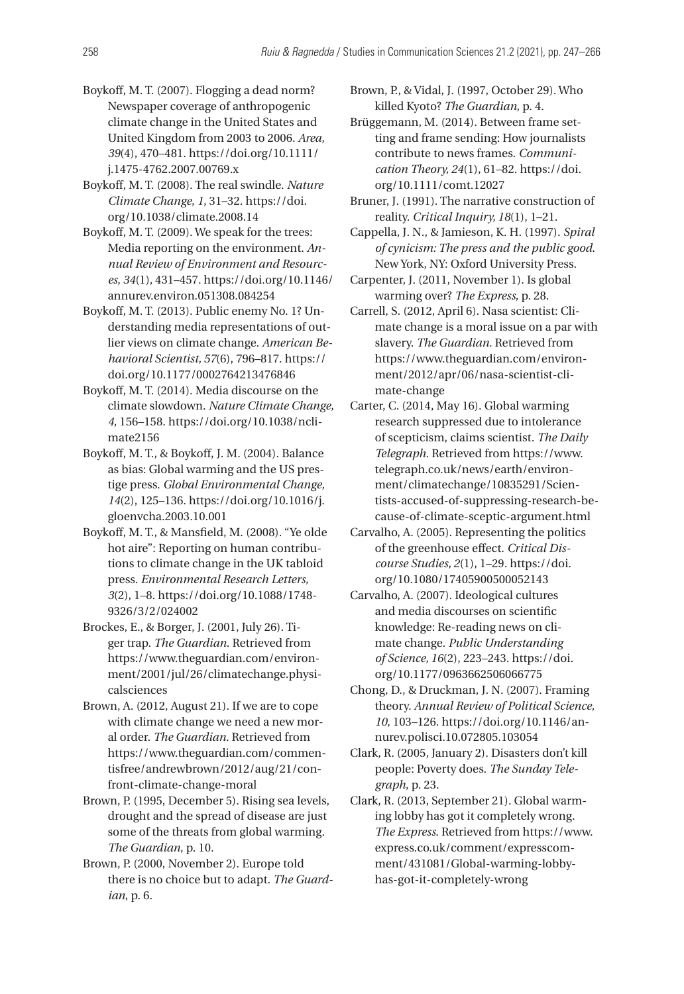- Boykoff, M. T. (2007). Flogging a dead norm? Newspaper coverage of anthropogenic climate change in the United States and United Kingdom from 2003 to 2006. *Area, 39*(4), 470–481. [https://doi.org/10.1111/](https://doi.org/10.1111/j.1475-4762.2007.00769.x) [j.1475-4762.2007.00769.x](https://doi.org/10.1111/j.1475-4762.2007.00769.x)
- Boykoff, M. T. (2008). The real swindle. *Nature Climate Change*, *1*, 31–32. [https://doi.](https://doi.org/10.1038/climate.2008.14) [org/10.1038/climate.2008.14](https://doi.org/10.1038/climate.2008.14)
- Boykoff, M. T. (2009). We speak for the trees: Media reporting on the environment. *Annual Review of Environment and Resources*, *34*(1), 431–457. [https://doi.org/10.1146/](https://doi.org/10.1146/annurev.environ.051308.084254) [annurev.environ.051308.084254](https://doi.org/10.1146/annurev.environ.051308.084254)
- Boykoff, M. T. (2013). Public enemy No. 1? Understanding media representations of outlier views on climate change. *American Behavioral Scientist, 57*(6), 796–817. [https://](https://doi.org/10.1177/0002764213476846) [doi.org/10.1177/0002764213476846](https://doi.org/10.1177/0002764213476846)
- Boykoff, M. T. (2014). Media discourse on the climate slowdown. *Nature Climate Change, 4*, 156–158. [https://doi.org/10.1038/ncli](https://doi.org/10.1038/nclimate2156)[mate2156](https://doi.org/10.1038/nclimate2156)
- Boykoff, M. T., & Boykoff, J. M. (2004). Balance as bias: Global warming and the US prestige press. *Global Environmental Change, 14*(2), 125–136. [https://doi.org/10.1016/j.](https://doi.org/10.1016/j.gloenvcha.2003.10.001) [gloenvcha.2003.10.001](https://doi.org/10.1016/j.gloenvcha.2003.10.001)
- Boykoff, M. T., & Mansfield, M. (2008). "Ye olde hot aire": Reporting on human contributions to climate change in the UK tabloid press. *Environmental Research Letters, 3*(2), 1–8. [https://doi.org/10.1088/1748-](https://doi.org/10.1088/1748-9326/3/2/024002)[9326/3/2/024002](https://doi.org/10.1088/1748-9326/3/2/024002)
- Brockes, E., & Borger, J. (2001, July 26). Tiger trap. *The Guardian*. Retrieved from [https://www.theguardian.com/environ](https://www.theguardian.com/environment/2001/jul/26/climatechange.physicalsciences)[ment/2001/jul/26/climatechange.physi](https://www.theguardian.com/environment/2001/jul/26/climatechange.physicalsciences)[calsciences](https://www.theguardian.com/environment/2001/jul/26/climatechange.physicalsciences)
- Brown, A. (2012, August 21). If we are to cope with climate change we need a new moral order. *The Guardian*. Retrieved from [https://www.theguardian.com/commen](https://www.theguardian.com/commentisfree/andrewbrown/2012/aug/21/confront-climate-change-moral)[tisfree/andrewbrown/2012/aug/21/con](https://www.theguardian.com/commentisfree/andrewbrown/2012/aug/21/confront-climate-change-moral)[front-climate-change-moral](https://www.theguardian.com/commentisfree/andrewbrown/2012/aug/21/confront-climate-change-moral)
- Brown, P. (1995, December 5). Rising sea levels, drought and the spread of disease are just some of the threats from global warming. *The Guardian*, p. 10.
- Brown, P. (2000, November 2). Europe told there is no choice but to adapt. *The Guardian*, p. 6.

Brown, P., & Vidal, J. (1997, October 29). Who killed Kyoto? *The Guardian*, p. 4.

- Brüggemann, M. (2014). Between frame setting and frame sending: How journalists contribute to news frames. *Communication Theory, 24*(1), 61–82. [https://doi.](https://doi.org/10.1111/comt.12027) [org/10.1111/comt.12027](https://doi.org/10.1111/comt.12027)
- Bruner, J. (1991). The narrative construction of reality. *Critical Inquiry, 18*(1), 1–21.
- Cappella, J. N., & Jamieson, K. H. (1997). *Spiral of cynicism: The press and the public good*. New York, NY: Oxford University Press.
- Carpenter, J. (2011, November 1). Is global warming over? *The Express*, p. 28.
- Carrell, S. (2012, April 6). Nasa scientist: Climate change is a moral issue on a par with slavery. *The Guardian*. Retrieved from [https://www.theguardian.com/environ](https://www.theguardian.com/environment/2012/apr/06/nasa-scientist-climate-change)[ment/2012/apr/06/nasa-scientist-cli](https://www.theguardian.com/environment/2012/apr/06/nasa-scientist-climate-change)[mate-change](https://www.theguardian.com/environment/2012/apr/06/nasa-scientist-climate-change)
- Carter, C. (2014, May 16). Global warming research suppressed due to intolerance of scepticism, claims scientist. *The Daily Telegraph*. Retrieved from [https://www.](https://www.telegraph.co.uk/news/earth/environment/climatechange/10835291/Scientists-accused-of-suppressing-research-because-of-climate-sceptic-argument.html) [telegraph.co.uk/news/earth/environ](https://www.telegraph.co.uk/news/earth/environment/climatechange/10835291/Scientists-accused-of-suppressing-research-because-of-climate-sceptic-argument.html)[ment/climatechange/10835291/Scien](https://www.telegraph.co.uk/news/earth/environment/climatechange/10835291/Scientists-accused-of-suppressing-research-because-of-climate-sceptic-argument.html)[tists-accused-of-suppressing-research-be](https://www.telegraph.co.uk/news/earth/environment/climatechange/10835291/Scientists-accused-of-suppressing-research-because-of-climate-sceptic-argument.html)[cause-of-climate-sceptic-argument.html](https://www.telegraph.co.uk/news/earth/environment/climatechange/10835291/Scientists-accused-of-suppressing-research-because-of-climate-sceptic-argument.html)
- Carvalho, A. (2005). Representing the politics of the greenhouse effect. *Critical Discourse Studies, 2*(1), 1–29. [https://doi.](https://doi.org/10.1080/17405900500052143) [org/10.1080/17405900500052143](https://doi.org/10.1080/17405900500052143)
- Carvalho, A. (2007). Ideological cultures and media discourses on scientific knowledge: Re-reading news on climate change. *Public Understanding of Science, 16*(2), 223–243. [https://doi.](https://doi.org/10.1177/0963662506066775) [org/10.1177/0963662506066775](https://doi.org/10.1177/0963662506066775)
- Chong, D., & Druckman, J. N. (2007). Framing theory. *Annual Review of Political Science, 10*, 103–126. [https://doi.org/10.1146/an](https://doi.org/10.1146/annurev.polisci.10.072805.103054)[nurev.polisci.10.072805.103054](https://doi.org/10.1146/annurev.polisci.10.072805.103054)
- Clark, R. (2005, January 2). Disasters don't kill people: Poverty does. *The Sunday Telegraph*, p. 23.
- Clark, R. (2013, September 21). Global warming lobby has got it completely wrong. *The Express*. Retrieved from [https://www.](https://www.express.co.uk/comment/expresscomment/431081/Global-warming-lobbyhas-got-it-completely-wrong) [express.co.uk/comment/expresscom](https://www.express.co.uk/comment/expresscomment/431081/Global-warming-lobbyhas-got-it-completely-wrong)[ment/431081/Global-warming-lobby](https://www.express.co.uk/comment/expresscomment/431081/Global-warming-lobbyhas-got-it-completely-wrong)[has-got-it-completely-wrong](https://www.express.co.uk/comment/expresscomment/431081/Global-warming-lobbyhas-got-it-completely-wrong)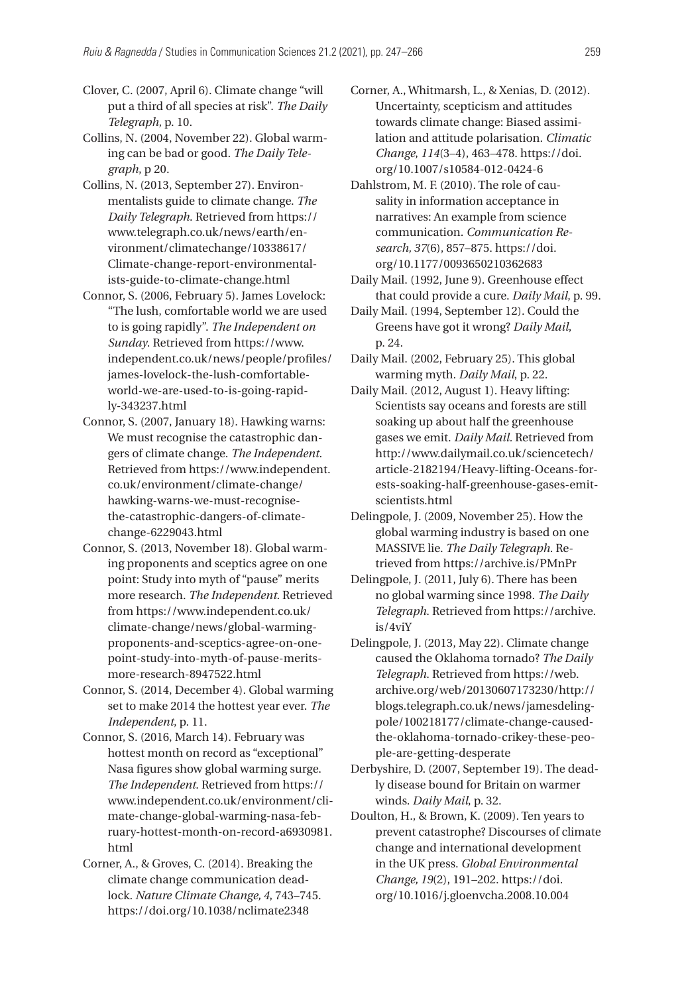Clover, C. (2007, April 6). Climate change "will put a third of all species at risk". *The Daily Telegraph*, p. 10.

Collins, N. (2004, November 22). Global warming can be bad or good. *The Daily Telegraph*, p 20.

- Collins, N. (2013, September 27). Environmentalists guide to climate change. *The Daily Telegraph*. Retrieved from [https://](https://www.telegraph.co.uk/news/earth/environment/climatechange/10338617/Climate-change-report-environmentalists-guide-to-climate-change.html) [www.telegraph.co.uk/news/earth/en](https://www.telegraph.co.uk/news/earth/environment/climatechange/10338617/Climate-change-report-environmentalists-guide-to-climate-change.html)[vironment/climatechange/10338617/](https://www.telegraph.co.uk/news/earth/environment/climatechange/10338617/Climate-change-report-environmentalists-guide-to-climate-change.html) [Climate-change-report-environmental](https://www.telegraph.co.uk/news/earth/environment/climatechange/10338617/Climate-change-report-environmentalists-guide-to-climate-change.html)[ists-guide-to-climate-change.html](https://www.telegraph.co.uk/news/earth/environment/climatechange/10338617/Climate-change-report-environmentalists-guide-to-climate-change.html)
- Connor, S. (2006, February 5). James Lovelock: "The lush, comfortable world we are used to is going rapidly". *The Independent on Sunday*. Retrieved from [https://www.](https://www.independent.co.uk/news/people/profiles/james-lovelock-the-lush-comfortable-world-we-are-used-to-is-going-rapidly-343237.html) [independent.co.uk/news/people/profiles/](https://www.independent.co.uk/news/people/profiles/james-lovelock-the-lush-comfortable-world-we-are-used-to-is-going-rapidly-343237.html) [james-lovelock-the-lush-comfortable](https://www.independent.co.uk/news/people/profiles/james-lovelock-the-lush-comfortable-world-we-are-used-to-is-going-rapidly-343237.html)[world-we-are-used-to-is-going-rapid](https://www.independent.co.uk/news/people/profiles/james-lovelock-the-lush-comfortable-world-we-are-used-to-is-going-rapidly-343237.html)[ly-343237.html](https://www.independent.co.uk/news/people/profiles/james-lovelock-the-lush-comfortable-world-we-are-used-to-is-going-rapidly-343237.html)
- Connor, S. (2007, January 18). Hawking warns: We must recognise the catastrophic dangers of climate change. *The Independent*. Retrieved from [https://www.independent.](https://www.independent.co.uk/environment/climate-change/hawking-warns-we-must-recognise-the-catastrophic-dangers-of-climate-change-6229043.html) [co.uk/environment/climate-change/](https://www.independent.co.uk/environment/climate-change/hawking-warns-we-must-recognise-the-catastrophic-dangers-of-climate-change-6229043.html) [hawking-warns-we-must-recognise](https://www.independent.co.uk/environment/climate-change/hawking-warns-we-must-recognise-the-catastrophic-dangers-of-climate-change-6229043.html)[the-catastrophic-dangers-of-climate](https://www.independent.co.uk/environment/climate-change/hawking-warns-we-must-recognise-the-catastrophic-dangers-of-climate-change-6229043.html)[change-6229043.html](https://www.independent.co.uk/environment/climate-change/hawking-warns-we-must-recognise-the-catastrophic-dangers-of-climate-change-6229043.html)
- Connor, S. (2013, November 18). Global warming proponents and sceptics agree on one point: Study into myth of "pause" merits more research. *The Independent*. Retrieved from [https://www.independent.co.uk/](https://www.independent.co.uk/climate-change/news/global-warming-proponents-and-sceptics-agree-on-one-point-study-into-myth-of-pause-merits-more-research-8947522.html) [climate-change/news/global-warming](https://www.independent.co.uk/climate-change/news/global-warming-proponents-and-sceptics-agree-on-one-point-study-into-myth-of-pause-merits-more-research-8947522.html)[proponents-and-sceptics-agree-on-one](https://www.independent.co.uk/climate-change/news/global-warming-proponents-and-sceptics-agree-on-one-point-study-into-myth-of-pause-merits-more-research-8947522.html)[point-study-into-myth-of-pause-merits](https://www.independent.co.uk/climate-change/news/global-warming-proponents-and-sceptics-agree-on-one-point-study-into-myth-of-pause-merits-more-research-8947522.html)[more-research-8947522.html](https://www.independent.co.uk/climate-change/news/global-warming-proponents-and-sceptics-agree-on-one-point-study-into-myth-of-pause-merits-more-research-8947522.html)
- Connor, S. (2014, December 4). Global warming set to make 2014 the hottest year ever. *The Independent*, p. 11.
- Connor, S. (2016, March 14). February was hottest month on record as "exceptional" Nasa figures show global warming surge. *The Independent*. Retrieved from [https://](https://www.independent.co.uk/environment/climate-change-global-warming-nasa-february-hottest-month-on-record-a6930981.html) [www.independent.co.uk/environment/cli](https://www.independent.co.uk/environment/climate-change-global-warming-nasa-february-hottest-month-on-record-a6930981.html)[mate-change-global-warming-nasa-feb](https://www.independent.co.uk/environment/climate-change-global-warming-nasa-february-hottest-month-on-record-a6930981.html)[ruary-hottest-month-on-record-a6930981.](https://www.independent.co.uk/environment/climate-change-global-warming-nasa-february-hottest-month-on-record-a6930981.html) [html](https://www.independent.co.uk/environment/climate-change-global-warming-nasa-february-hottest-month-on-record-a6930981.html)
- Corner, A., & Groves, C. (2014). Breaking the climate change communication deadlock. *Nature Climate Change, 4*, 743–745. <https://doi.org/10.1038/nclimate2348>
- Corner, A., Whitmarsh, L., & Xenias, D. (2012). Uncertainty, scepticism and attitudes towards climate change: Biased assimilation and attitude polarisation. *Climatic Change*, *114*(3–4), 463–478. [https://doi.](https://doi.org/10.1007/s10584-012-0424-6) [org/10.1007/s10584-012-0424-6](https://doi.org/10.1007/s10584-012-0424-6)
- Dahlstrom, M. F. (2010). The role of causality in information acceptance in narratives: An example from science communication. *Communication Research, 37*(6), 857–875. [https://doi.](https://doi.org/10.1177/0093650210362683) [org/10.1177/0093650210362683](https://doi.org/10.1177/0093650210362683)
- Daily Mail. (1992, June 9). Greenhouse effect that could provide a cure. *Daily Mail*, p. 99.
- Daily Mail. (1994, September 12). Could the Greens have got it wrong? *Daily Mail*, p. 24.
- Daily Mail. (2002, February 25). This global warming myth. *Daily Mail*, p. 22.
- Daily Mail. (2012, August 1). Heavy lifting: Scientists say oceans and forests are still soaking up about half the greenhouse gases we emit. *Daily Mail.* Retrieved from [http://www.dailymail.co.uk/sciencetech/](http://www.dailymail.co.uk/sciencetech/article-2182194/Heavy-lifting-Oceans-forests-soaking-half-greenhouse-gases-emit-scientists.html) [article-2182194/Heavy-lifting-Oceans-for](http://www.dailymail.co.uk/sciencetech/article-2182194/Heavy-lifting-Oceans-forests-soaking-half-greenhouse-gases-emit-scientists.html)[ests-soaking-half-greenhouse-gases-emit](http://www.dailymail.co.uk/sciencetech/article-2182194/Heavy-lifting-Oceans-forests-soaking-half-greenhouse-gases-emit-scientists.html)[scientists.html](http://www.dailymail.co.uk/sciencetech/article-2182194/Heavy-lifting-Oceans-forests-soaking-half-greenhouse-gases-emit-scientists.html)
- Delingpole, J. (2009, November 25). How the global warming industry is based on one MASSIVE lie. *The Daily Telegraph*. Retrieved from<https://archive.is/PMnPr>
- Delingpole, J. (2011, July 6). There has been no global warming since 1998. *The Daily Telegraph*. Retrieved from [https://archive.](https://archive.is/4viY) [is/4viY](https://archive.is/4viY)
- Delingpole, J. (2013, May 22). Climate change caused the Oklahoma tornado? *The Daily Telegraph*. Retrieved from [https://web.](https://web.archive.org/web/20130607173230/http://blogs.telegraph.co.uk/news/jamesdelingpole/100218177/climate-change-caused-the-oklahoma-tornado-crikey-these-people-are-getting-desperate) [archive.org/web/20130607173230/http://](https://web.archive.org/web/20130607173230/http://blogs.telegraph.co.uk/news/jamesdelingpole/100218177/climate-change-caused-the-oklahoma-tornado-crikey-these-people-are-getting-desperate) [blogs.telegraph.co.uk/news/jamesdeling](https://web.archive.org/web/20130607173230/http://blogs.telegraph.co.uk/news/jamesdelingpole/100218177/climate-change-caused-the-oklahoma-tornado-crikey-these-people-are-getting-desperate)[pole/100218177/climate-change-caused](https://web.archive.org/web/20130607173230/http://blogs.telegraph.co.uk/news/jamesdelingpole/100218177/climate-change-caused-the-oklahoma-tornado-crikey-these-people-are-getting-desperate)[the-oklahoma-tornado-crikey-these-peo](https://web.archive.org/web/20130607173230/http://blogs.telegraph.co.uk/news/jamesdelingpole/100218177/climate-change-caused-the-oklahoma-tornado-crikey-these-people-are-getting-desperate)[ple-are-getting-desperate](https://web.archive.org/web/20130607173230/http://blogs.telegraph.co.uk/news/jamesdelingpole/100218177/climate-change-caused-the-oklahoma-tornado-crikey-these-people-are-getting-desperate)
- Derbyshire, D. (2007, September 19). The deadly disease bound for Britain on warmer winds. *Daily Mail*, p. 32.
- Doulton, H., & Brown, K. (2009). Ten years to prevent catastrophe? Discourses of climate change and international development in the UK press. *Global Environmental Change, 19*(2), 191–202. [https://doi.](https://doi.org/10.1016/j.gloenvcha.2008.10.004) [org/10.1016/j.gloenvcha.2008.10.004](https://doi.org/10.1016/j.gloenvcha.2008.10.004)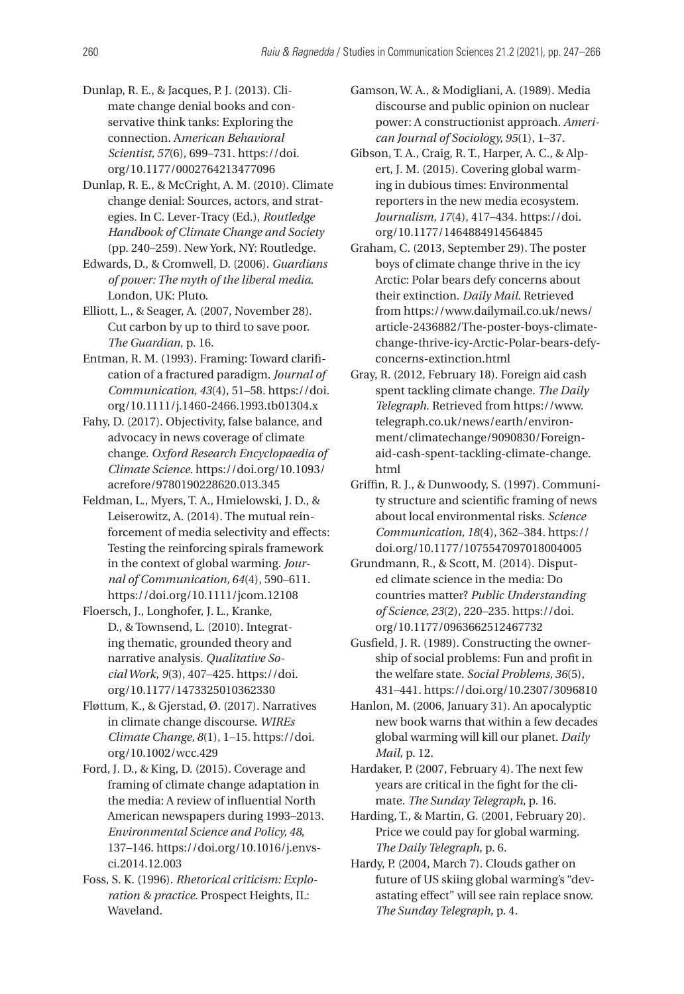- Dunlap, R. E., & Jacques, P. J. (2013). Climate change denial books and conservative think tanks: Exploring the connection. A*merican Behavioral Scientist, 57*(6), 699–731. [https://doi.](https://doi.org/10.1177/0002764213477096) [org/10.1177/0002764213477096](https://doi.org/10.1177/0002764213477096)
- Dunlap, R. E., & McCright, A. M. (2010). Climate change denial: Sources, actors, and strategies. In C. Lever-Tracy (Ed.), *Routledge Handbook of Climate Change and Society* (pp. 240–259). New York, NY: Routledge.
- Edwards, D., & Cromwell, D. (2006). *Guardians of power: The myth of the liberal media*. London, UK: Pluto.
- Elliott, L., & Seager, A. (2007, November 28). Cut carbon by up to third to save poor. *The Guardian*, p. 16.
- Entman, R. M. (1993). Framing: Toward clarification of a fractured paradigm. *Journal of Communication, 43*(4), 51–58. [https://doi.](https://doi.org/10.1111/j.1460-2466.1993.tb01304.x) [org/10.1111/j.1460-2466.1993.tb01304.x](https://doi.org/10.1111/j.1460-2466.1993.tb01304.x)
- Fahy, D. (2017). Objectivity, false balance, and advocacy in news coverage of climate change. *Oxford Research Encyclopaedia of Climate Science*. [https://doi.org/10.1093/](https://doi.org/10.1093/acrefore/9780190228620.013.345) [acrefore/9780190228620.013.345](https://doi.org/10.1093/acrefore/9780190228620.013.345)
- Feldman, L., Myers, T. A., Hmielowski, J. D., & Leiserowitz, A. (2014). The mutual reinforcement of media selectivity and effects: Testing the reinforcing spirals framework in the context of global warming. *Journal of Communication, 64*(4), 590–611. <https://doi.org/10.1111/jcom.12108>
- Floersch, J., Longhofer, J. L., Kranke, D., & Townsend, L. (2010). Integrating thematic, grounded theory and narrative analysis. *Qualitative Social Work*, *9*(3), 407–425. [https://doi.](https://doi.org/10.1177/1473325010362330) [org/10.1177/1473325010362330](https://doi.org/10.1177/1473325010362330)
- Fløttum, K., & Gjerstad, Ø. (2017). Narratives in climate change discourse. *WIREs Climate Change, 8*(1), 1–15. [https://doi.](https://doi.org/10.1002/wcc.429) [org/10.1002/wcc.429](https://doi.org/10.1002/wcc.429)
- Ford, J. D., & King, D. (2015). Coverage and framing of climate change adaptation in the media: A review of influential North American newspapers during 1993–2013. *Environmental Science and Policy, 48*, 137–146. [https://doi.org/10.1016/j.envs](https://doi.org/10.1016/j.envsci.2014.12.003)[ci.2014.12.003](https://doi.org/10.1016/j.envsci.2014.12.003)
- Foss, S. K. (1996). *Rhetorical criticism: Exploration & practice*. Prospect Heights, IL: Waveland.
- Gamson, W. A., & Modigliani, A. (1989). Media discourse and public opinion on nuclear power: A constructionist approach. *American Journal of Sociology, 95*(1), 1–37.
- Gibson, T. A., Craig, R. T., Harper, A. C., & Alpert, J. M. (2015). Covering global warming in dubious times: Environmental reporters in the new media ecosystem. *Journalism, 17*(4), 417–434. [https://doi.](https://doi.org/10.1177/1464884914564845) [org/10.1177/1464884914564845](https://doi.org/10.1177/1464884914564845)
- Graham, C. (2013, September 29). The poster boys of climate change thrive in the icy Arctic: Polar bears defy concerns about their extinction. *Daily Mail*. Retrieved from [https://www.dailymail.co.uk/news/](https://www.dailymail.co.uk/news/article-2436882/The-poster-boys-climate-change-thrive-icy-Arctic-Polar-bears-defy-concerns-extinction.html) [article-2436882/The-poster-boys-climate](https://www.dailymail.co.uk/news/article-2436882/The-poster-boys-climate-change-thrive-icy-Arctic-Polar-bears-defy-concerns-extinction.html)[change-thrive-icy-Arctic-Polar-bears-defy](https://www.dailymail.co.uk/news/article-2436882/The-poster-boys-climate-change-thrive-icy-Arctic-Polar-bears-defy-concerns-extinction.html)[concerns-extinction.html](https://www.dailymail.co.uk/news/article-2436882/The-poster-boys-climate-change-thrive-icy-Arctic-Polar-bears-defy-concerns-extinction.html)
- Gray, R. (2012, February 18). Foreign aid cash spent tackling climate change. *The Daily Telegraph*. Retrieved from [https://www.](https://www.telegraph.co.uk/news/earth/environment/climatechange/9090830/Foreign-aid-cash-spent-tackling-climate-change.html) [telegraph.co.uk/news/earth/environ](https://www.telegraph.co.uk/news/earth/environment/climatechange/9090830/Foreign-aid-cash-spent-tackling-climate-change.html)[ment/climatechange/9090830/Foreign](https://www.telegraph.co.uk/news/earth/environment/climatechange/9090830/Foreign-aid-cash-spent-tackling-climate-change.html)[aid-cash-spent-tackling-climate-change.](https://www.telegraph.co.uk/news/earth/environment/climatechange/9090830/Foreign-aid-cash-spent-tackling-climate-change.html) [html](https://www.telegraph.co.uk/news/earth/environment/climatechange/9090830/Foreign-aid-cash-spent-tackling-climate-change.html)
- Griffin, R. J., & Dunwoody, S. (1997). Community structure and scientific framing of news about local environmental risks. *Science Communication, 18*(4), 362–384. [https://](https://doi.org/10.1177/1075547097018004005) [doi.org/10.1177/1075547097018004005](https://doi.org/10.1177/1075547097018004005)
- Grundmann, R., & Scott, M. (2014). Disputed climate science in the media: Do countries matter? *Public Understanding of Science, 23*(2), 220–235. [https://doi.](https://doi.org/10.1177/0963662512467732) [org/10.1177/0963662512467732](https://doi.org/10.1177/0963662512467732)
- Gusfield, J. R. (1989). Constructing the ownership of social problems: Fun and profit in the welfare state. *Social Problems, 36*(5), 431–441.<https://doi.org/10.2307/3096810>
- Hanlon, M. (2006, January 31). An apocalyptic new book warns that within a few decades global warming will kill our planet. *Daily Mail*, p. 12.
- Hardaker, P. (2007, February 4). The next few years are critical in the fight for the climate. *The Sunday Telegraph*, p. 16.
- Harding, T., & Martin, G. (2001, February 20). Price we could pay for global warming. *The Daily Telegraph*, p. 6.
- Hardy, P. (2004, March 7). Clouds gather on future of US skiing global warming's "devastating effect" will see rain replace snow. *The Sunday Telegraph*, p. 4.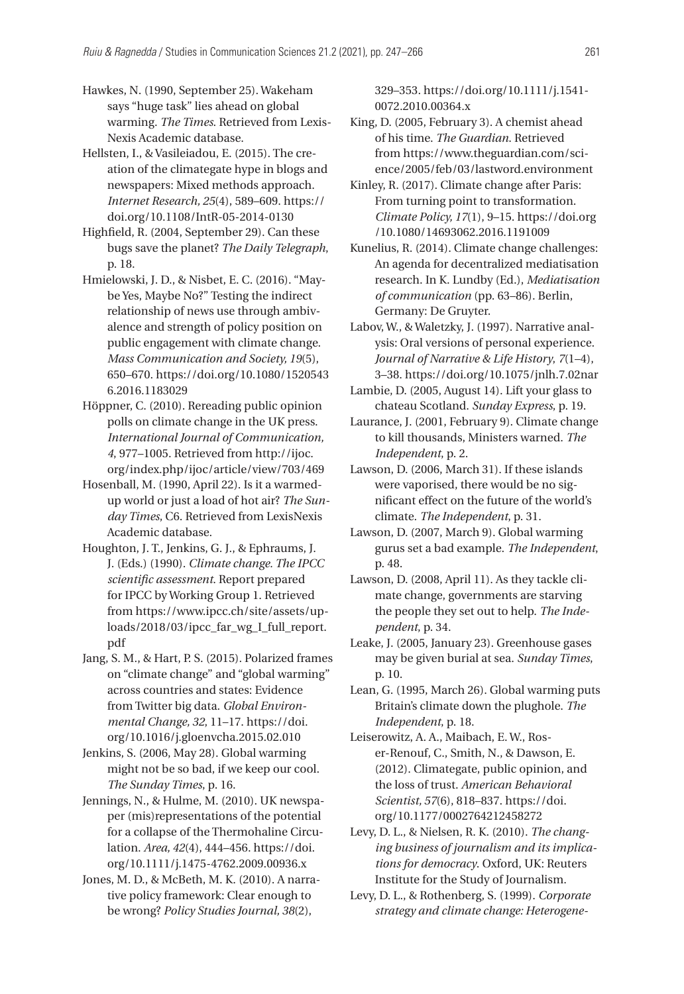Hawkes, N. (1990, September 25). Wakeham says "huge task" lies ahead on global warming. *The Times*. Retrieved from Lexis-Nexis Academic database.

Hellsten, I., & Vasileiadou, E. (2015). The creation of the climategate hype in blogs and newspapers: Mixed methods approach. *Internet Research, 25*(4), 589–609. [https://](https://doi.org/10.1108/IntR-05-2014-0130) [doi.org/10.1108/IntR-05-2014-0130](https://doi.org/10.1108/IntR-05-2014-0130)

Highfield, R. (2004, September 29). Can these bugs save the planet? *The Daily Telegraph*, p. 18.

Hmielowski, J. D., & Nisbet, E. C. (2016). "Maybe Yes, Maybe No?" Testing the indirect relationship of news use through ambivalence and strength of policy position on public engagement with climate change. *Mass Communication and Society, 19*(5), 650–670. [https://doi.org/10.1080/1520543](https://doi.org/10.1080/15205436.2016.1183029) [6.2016.1183029](https://doi.org/10.1080/15205436.2016.1183029)

Höppner, C. (2010). Rereading public opinion polls on climate change in the UK press. *International Journal of Communication, 4*, 977–1005. Retrieved from [http://ijoc.](http://ijoc.org/index.php/ijoc/article/view/703/469) [org/index.php/ijoc/article/view/703/469](http://ijoc.org/index.php/ijoc/article/view/703/469)

Hosenball, M. (1990, April 22). Is it a warmedup world or just a load of hot air? *The Sunday Times*, C6. Retrieved from LexisNexis Academic database.

Houghton, J. T., Jenkins, G. J., & Ephraums, J. J. (Eds.) (1990). *Climate change. The IPCC scientific assessment*. Report prepared for IPCC by Working Group 1. Retrieved from [https://www.ipcc.ch/site/assets/up](https://www.ipcc.ch/site/assets/uploads/2018/03/ipcc_far_wg_I_full_report.pdf)[loads/2018/03/ipcc\\_far\\_wg\\_I\\_full\\_report.](https://www.ipcc.ch/site/assets/uploads/2018/03/ipcc_far_wg_I_full_report.pdf) [pdf](https://www.ipcc.ch/site/assets/uploads/2018/03/ipcc_far_wg_I_full_report.pdf)

Jang, S. M., & Hart, P. S. (2015). Polarized frames on "climate change" and "global warming" across countries and states: Evidence from Twitter big data. *Global Environmental Change, 32*, 11–17. [https://doi.](https://doi.org/10.1016/j.gloenvcha.2015.02.010) [org/10.1016/j.gloenvcha.2015.02.010](https://doi.org/10.1016/j.gloenvcha.2015.02.010)

Jenkins, S. (2006, May 28). Global warming might not be so bad, if we keep our cool. *The Sunday Times*, p. 16.

Jennings, N., & Hulme, M. (2010). UK newspaper (mis)representations of the potential for a collapse of the Thermohaline Circulation. *Area, 42*(4), 444–456. [https://doi.](https://doi.org/10.1111/j.1475-4762.2009.00936.x) [org/10.1111/j.1475-4762.2009.00936.x](https://doi.org/10.1111/j.1475-4762.2009.00936.x)

Jones, M. D., & McBeth, M. K. (2010). A narrative policy framework: Clear enough to be wrong? *Policy Studies Journal, 38*(2),

329–353. [https://doi.org/10.1111/j.1541-](https://doi.org/10.1111/j.1541-0072.2010.00364.x)[0072.2010.00364.x](https://doi.org/10.1111/j.1541-0072.2010.00364.x)

King, D. (2005, February 3). A chemist ahead of his time. *The Guardian*. Retrieved from [https://www.theguardian.com/sci](https://www.theguardian.com/science/2005/feb/03/lastword.environment)[ence/2005/feb/03/lastword.environment](https://www.theguardian.com/science/2005/feb/03/lastword.environment)

Kinley, R. (2017). Climate change after Paris: From turning point to transformation. *Climate Policy, 17*(1), 9–15. [https://doi.org](https://doi.org/10.1080/14693062.2016.1191009) [/10.1080/14693062.2016.1191009](https://doi.org/10.1080/14693062.2016.1191009)

Kunelius, R. (2014). Climate change challenges: An agenda for decentralized mediatisation research. In K. Lundby (Ed.), *Mediatisation of communication* (pp. 63–86). Berlin, Germany: De Gruyter.

Labov, W., & Waletzky, J. (1997). Narrative analysis: Oral versions of personal experience. *Journal of Narrative & Life History*, *7*(1–4), 3–38.<https://doi.org/10.1075/jnlh.7.02nar>

Lambie, D. (2005, August 14). Lift your glass to chateau Scotland. *Sunday Express*, p. 19.

Laurance, J. (2001, February 9). Climate change to kill thousands, Ministers warned. *The Independent*, p. 2.

Lawson, D. (2006, March 31). If these islands were vaporised, there would be no significant effect on the future of the world's climate. *The Independent*, p. 31.

Lawson, D. (2007, March 9). Global warming gurus set a bad example. *The Independent*, p. 48.

Lawson, D. (2008, April 11). As they tackle climate change, governments are starving the people they set out to help. *The Independent*, p. 34.

Leake, J. (2005, January 23). Greenhouse gases may be given burial at sea. *Sunday Times*, p. 10.

Lean, G. (1995, March 26). Global warming puts Britain's climate down the plughole. *The Independent*, p. 18.

Leiserowitz, A. A., Maibach, E. W., Roser-Renouf, C., Smith, N., & Dawson, E. (2012). Climategate, public opinion, and the loss of trust. *American Behavioral Scientist, 57*(6), 818–837. [https://doi.](https://doi.org/10.1177/0002764212458272) [org/10.1177/0002764212458272](https://doi.org/10.1177/0002764212458272)

Levy, D. L., & Nielsen, R. K. (2010). *The changing business of journalism and its implications for democracy*. Oxford, UK: Reuters Institute for the Study of Journalism.

Levy, D. L., & Rothenberg, S. (1999). *Corporate strategy and climate change: Heterogene*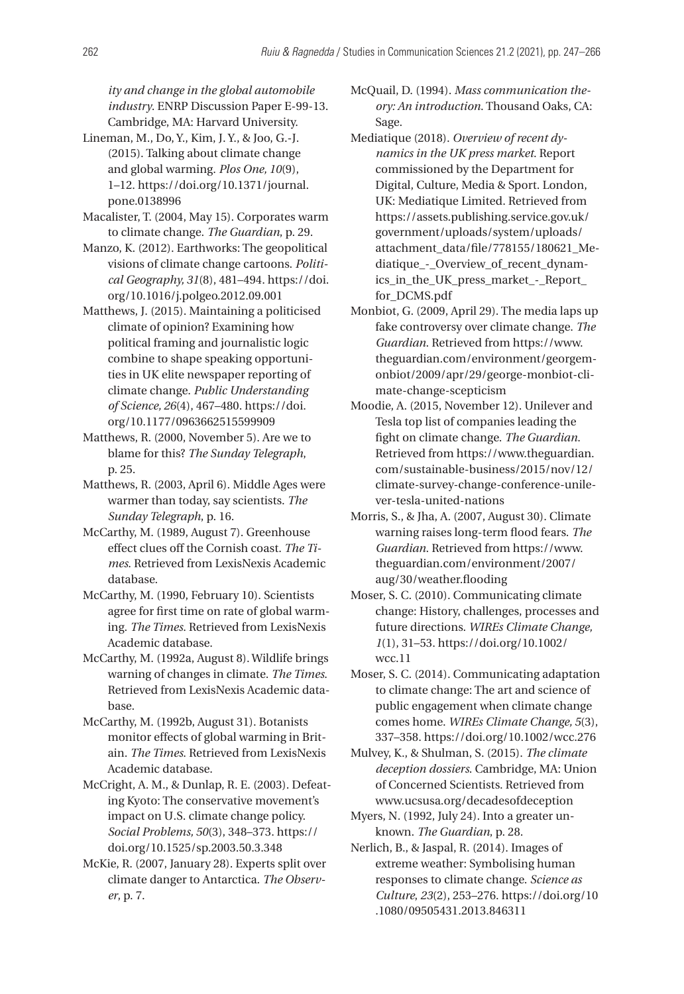*ity and change in the global automobile industry*. ENRP Discussion Paper E-99-13. Cambridge, MA: Harvard University.

- Lineman, M., Do, Y., Kim, J. Y., & Joo, G.-J. (2015). Talking about climate change and global warming. *Plos One, 10*(9), 1–12. [https://doi.org/10.1371/journal.](https://doi.org/10.1371/journal.pone.0138996) [pone.0138996](https://doi.org/10.1371/journal.pone.0138996)
- Macalister, T. (2004, May 15). Corporates warm to climate change. *The Guardian*, p. 29.
- Manzo, K. (2012). Earthworks: The geopolitical visions of climate change cartoons. *Political Geography, 31*(8), 481–494. [https://doi.](https://doi.org/10.1016/j.polgeo.2012.09.001) [org/10.1016/j.polgeo.2012.09.001](https://doi.org/10.1016/j.polgeo.2012.09.001)
- Matthews, J. (2015). Maintaining a politicised climate of opinion? Examining how political framing and journalistic logic combine to shape speaking opportunities in UK elite newspaper reporting of climate change. *Public Understanding of Science, 26*(4), 467–480. [https://doi.](https://doi.org/10.1177/0963662515599909) [org/10.1177/0963662515599909](https://doi.org/10.1177/0963662515599909)
- Matthews, R. (2000, November 5). Are we to blame for this? *The Sunday Telegraph*, p. 25.
- Matthews, R. (2003, April 6). Middle Ages were warmer than today, say scientists. *The Sunday Telegraph*, p. 16.
- McCarthy, M. (1989, August 7). Greenhouse effect clues off the Cornish coast. *The Times*. Retrieved from LexisNexis Academic database.
- McCarthy, M. (1990, February 10). Scientists agree for first time on rate of global warming. *The Times*. Retrieved from LexisNexis Academic database.
- McCarthy, M. (1992a, August 8). Wildlife brings warning of changes in climate. *The Times*. Retrieved from LexisNexis Academic database.
- McCarthy, M. (1992b, August 31). Botanists monitor effects of global warming in Britain. *The Times*. Retrieved from LexisNexis Academic database.
- McCright, A. M., & Dunlap, R. E. (2003). Defeating Kyoto: The conservative movement's impact on U.S. climate change policy. *Social Problems, 50*(3), 348–373. [https://](https://doi.org/10.1525/sp.2003.50.3.348) [doi.org/10.1525/sp.2003.50.3.348](https://doi.org/10.1525/sp.2003.50.3.348)
- McKie, R. (2007, January 28). Experts split over climate danger to Antarctica. *The Observer*, p. 7.

McQuail, D. (1994). *Mass communication theory: An introduction*. Thousand Oaks, CA: Sage.

- Mediatique (2018). *Overview of recent dynamics in the UK press market*. Report commissioned by the Department for Digital, Culture, Media & Sport. London, UK: Mediatique Limited. Retrieved from [https://assets.publishing.service.gov.uk/](https://assets.publishing.service.gov.uk/government/uploads/system/uploads/attachment_data/file/778155/180621_Mediatique_-_Overview_of_recent_dynamics_in_the_UK_press_market_-_Report_for_DCMS.pdf) [government/uploads/system/uploads/](https://assets.publishing.service.gov.uk/government/uploads/system/uploads/attachment_data/file/778155/180621_Mediatique_-_Overview_of_recent_dynamics_in_the_UK_press_market_-_Report_for_DCMS.pdf) [attachment\\_data/file/778155/180621\\_Me](https://assets.publishing.service.gov.uk/government/uploads/system/uploads/attachment_data/file/778155/180621_Mediatique_-_Overview_of_recent_dynamics_in_the_UK_press_market_-_Report_for_DCMS.pdf)[diatique\\_-\\_Overview\\_of\\_recent\\_dynam](https://assets.publishing.service.gov.uk/government/uploads/system/uploads/attachment_data/file/778155/180621_Mediatique_-_Overview_of_recent_dynamics_in_the_UK_press_market_-_Report_for_DCMS.pdf)[ics\\_in\\_the\\_UK\\_press\\_market\\_-\\_Report\\_](https://assets.publishing.service.gov.uk/government/uploads/system/uploads/attachment_data/file/778155/180621_Mediatique_-_Overview_of_recent_dynamics_in_the_UK_press_market_-_Report_for_DCMS.pdf) [for\\_DCMS.pdf](https://assets.publishing.service.gov.uk/government/uploads/system/uploads/attachment_data/file/778155/180621_Mediatique_-_Overview_of_recent_dynamics_in_the_UK_press_market_-_Report_for_DCMS.pdf)
- Monbiot, G. (2009, April 29). The media laps up fake controversy over climate change. *The Guardian*. Retrieved from [https://www.](https://www.theguardian.com/environment/georgemonbiot/2009/apr/29/george-monbiot-climate-change-scepticism) [theguardian.com/environment/georgem](https://www.theguardian.com/environment/georgemonbiot/2009/apr/29/george-monbiot-climate-change-scepticism)[onbiot/2009/apr/29/george-monbiot-cli](https://www.theguardian.com/environment/georgemonbiot/2009/apr/29/george-monbiot-climate-change-scepticism)[mate-change-scepticism](https://www.theguardian.com/environment/georgemonbiot/2009/apr/29/george-monbiot-climate-change-scepticism)
- Moodie, A. (2015, November 12). Unilever and Tesla top list of companies leading the fight on climate change. *The Guardian*. Retrieved from [https://www.theguardian.](https://www.theguardian.com/sustainable-business/2015/nov/12/climate-survey-change-conference-unilever-tesla-united-nations) [com/sustainable-business/2015/nov/12/](https://www.theguardian.com/sustainable-business/2015/nov/12/climate-survey-change-conference-unilever-tesla-united-nations) [climate-survey-change-conference-unile](https://www.theguardian.com/sustainable-business/2015/nov/12/climate-survey-change-conference-unilever-tesla-united-nations)[ver-tesla-united-nations](https://www.theguardian.com/sustainable-business/2015/nov/12/climate-survey-change-conference-unilever-tesla-united-nations)
- Morris, S., & Jha, A. (2007, August 30). Climate warning raises long-term flood fears. *The Guardian*. Retrieved from [https://www.](https://www.theguardian.com/environment/2007/aug/30/weather.flooding) [theguardian.com/environment/2007/](https://www.theguardian.com/environment/2007/aug/30/weather.flooding) [aug/30/weather.flooding](https://www.theguardian.com/environment/2007/aug/30/weather.flooding)
- Moser, S. C. (2010). Communicating climate change: History, challenges, processes and future directions. *WIREs Climate Change, 1*(1), 31–53. [https://doi.org/10.1002/](https://doi.org/10.1002/wcc.11) [wcc.11](https://doi.org/10.1002/wcc.11)
- Moser, S. C. (2014). Communicating adaptation to climate change: The art and science of public engagement when climate change comes home. *WIREs Climate Change, 5*(3), 337–358.<https://doi.org/10.1002/wcc.276>
- Mulvey, K., & Shulman, S. (2015). *The climate deception dossiers*. Cambridge, MA: Union of Concerned Scientists. Retrieved from [www.ucsusa.org/decadesofdeception](http://www.ucsusa.org/decadesofdeception)
- Myers, N. (1992, July 24). Into a greater unknown. *The Guardian*, p. 28.
- Nerlich, B., & Jaspal, R. (2014). Images of extreme weather: Symbolising human responses to climate change. *Science as Culture*, *23*(2), 253–276. [https://doi.org/10](https://doi.org/10.1080/09505431.2013.846311) [.1080/09505431.2013.846311](https://doi.org/10.1080/09505431.2013.846311)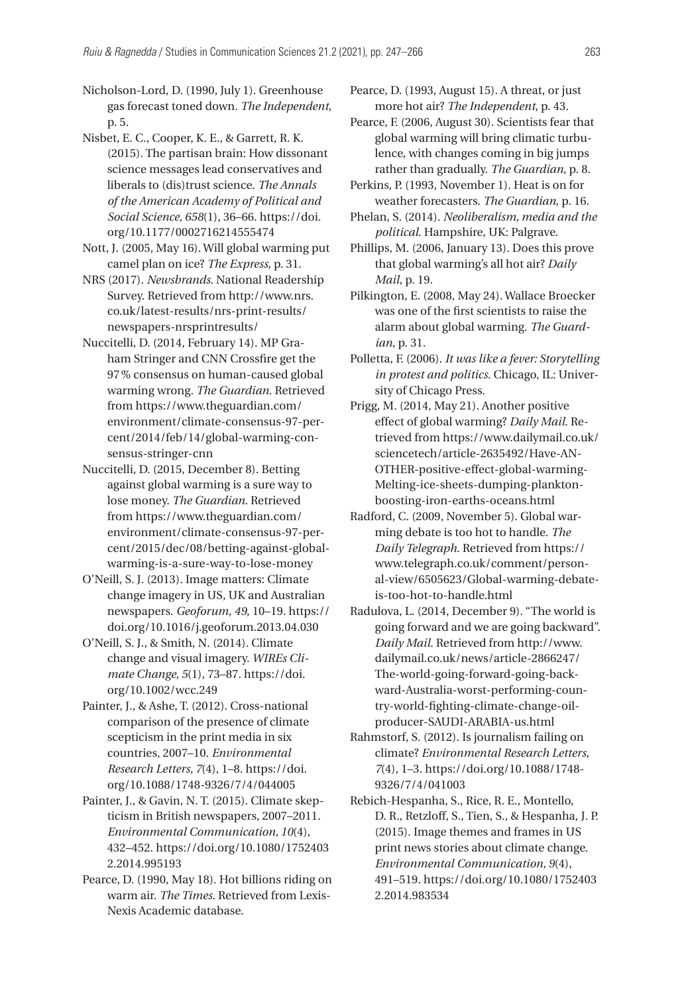Nicholson-Lord, D. (1990, July 1). Greenhouse gas forecast toned down. *The Independent*, p. 5.

Nisbet, E. C., Cooper, K. E., & Garrett, R. K. (2015). The partisan brain: How dissonant science messages lead conservatives and liberals to (dis)trust science. *The Annals of the American Academy of Political and Social Science, 658*(1), 36–66. [https://doi.](https://doi.org/10.1177/0002716214555474) [org/10.1177/0002716214555474](https://doi.org/10.1177/0002716214555474)

Nott, J. (2005, May 16). Will global warming put camel plan on ice? *The Express*, p. 31.

NRS (2017). *Newsbrands*. National Readership Survey. Retrieved from [http://www.nrs.](http://www.nrs.co.uk/latest-results/nrs-print-results/newspapers-nrsprintresults/) [co.uk/latest-results/nrs-print-results/](http://www.nrs.co.uk/latest-results/nrs-print-results/newspapers-nrsprintresults/) [newspapers-nrsprintresults/](http://www.nrs.co.uk/latest-results/nrs-print-results/newspapers-nrsprintresults/)

Nuccitelli, D. (2014, February 14). MP Graham Stringer and CNN Crossfire get the 97% consensus on human-caused global warming wrong. *The Guardian*. Retrieved from [https://www.theguardian.com/](https://www.theguardian.com/environment/climate-consensus-97-per-cent/2014/feb/14/global-warming-consensus-stringer-cnn) [environment/climate-consensus-97-per](https://www.theguardian.com/environment/climate-consensus-97-per-cent/2014/feb/14/global-warming-consensus-stringer-cnn)[cent/2014/feb/14/global-warming-con](https://www.theguardian.com/environment/climate-consensus-97-per-cent/2014/feb/14/global-warming-consensus-stringer-cnn)[sensus-stringer-cnn](https://www.theguardian.com/environment/climate-consensus-97-per-cent/2014/feb/14/global-warming-consensus-stringer-cnn)

Nuccitelli, D. (2015, December 8). Betting against global warming is a sure way to lose money. *The Guardian*. Retrieved from [https://www.theguardian.com/](https://www.theguardian.com/environment/climate-consensus-97-per-cent/2015/dec/08/betting-against-global-warming-is-a-sure-way-to-lose-money) [environment/climate-consensus-97-per](https://www.theguardian.com/environment/climate-consensus-97-per-cent/2015/dec/08/betting-against-global-warming-is-a-sure-way-to-lose-money)[cent/2015/dec/08/betting-against-global](https://www.theguardian.com/environment/climate-consensus-97-per-cent/2015/dec/08/betting-against-global-warming-is-a-sure-way-to-lose-money)[warming-is-a-sure-way-to-lose-money](https://www.theguardian.com/environment/climate-consensus-97-per-cent/2015/dec/08/betting-against-global-warming-is-a-sure-way-to-lose-money)

O'Neill, S. J. (2013). Image matters: Climate change imagery in US, UK and Australian newspapers. *Geoforum*, *49*, 10–19. [https://](https://doi.org/10.1016/j.geoforum.2013.04.030) [doi.org/10.1016/j.geoforum.2013.04.030](https://doi.org/10.1016/j.geoforum.2013.04.030)

O'Neill, S. J., & Smith, N. (2014). Climate change and visual imagery. *WIREs Climate Change, 5*(1), 73–87. [https://doi.](https://doi.org/10.1002/wcc.249) [org/10.1002/wcc.249](https://doi.org/10.1002/wcc.249)

Painter, J., & Ashe, T. (2012). Cross-national comparison of the presence of climate scepticism in the print media in six countries, 2007–10. *Environmental Research Letters, 7*(4), 1–8. [https://doi.](https://doi.org/10.1088/1748-9326/7/4/044005) [org/10.1088/1748-9326/7/4/044005](https://doi.org/10.1088/1748-9326/7/4/044005)

Painter, J., & Gavin, N. T. (2015). Climate skepticism in British newspapers, 2007–2011. *Environmental Communication, 10*(4), 432–452. [https://doi.org/10.1080/1752403](https://doi.org/10.1080/17524032.2014.995193) [2.2014.995193](https://doi.org/10.1080/17524032.2014.995193)

Pearce, D. (1990, May 18). Hot billions riding on warm air. *The Times*. Retrieved from Lexis-Nexis Academic database.

Pearce, D. (1993, August 15). A threat, or just more hot air? *The Independent*, p. 43.

Pearce, F. (2006, August 30). Scientists fear that global warming will bring climatic turbulence, with changes coming in big jumps rather than gradually. *The Guardian*, p. 8.

Perkins, P. (1993, November 1). Heat is on for weather forecasters. *The Guardian*, p. 16.

Phelan, S. (2014). *Neoliberalism, media and the political*. Hampshire, UK: Palgrave.

Phillips, M. (2006, January 13). Does this prove that global warming's all hot air? *Daily Mail*, p. 19.

Pilkington, E. (2008, May 24). Wallace Broecker was one of the first scientists to raise the alarm about global warming. *The Guardian*, p. 31.

Polletta, F. (2006). *It was like a fever: Storytelling in protest and politics*. Chicago, IL: University of Chicago Press.

Prigg, M. (2014, May 21). Another positive effect of global warming? *Daily Mail*. Retrieved from [https://www.dailymail.co.uk/](https://www.dailymail.co.uk/sciencetech/article-2635492/Have-ANOTHER-positive-effect-global-warming-Melting-ice-sheets-dumping-plankton-boosting-iron-earths-oceans.html) [sciencetech/article-2635492/Have-AN-](https://www.dailymail.co.uk/sciencetech/article-2635492/Have-ANOTHER-positive-effect-global-warming-Melting-ice-sheets-dumping-plankton-boosting-iron-earths-oceans.html)[OTHER-positive-effect-global-warming-](https://www.dailymail.co.uk/sciencetech/article-2635492/Have-ANOTHER-positive-effect-global-warming-Melting-ice-sheets-dumping-plankton-boosting-iron-earths-oceans.html)[Melting-ice-sheets-dumping-plankton](https://www.dailymail.co.uk/sciencetech/article-2635492/Have-ANOTHER-positive-effect-global-warming-Melting-ice-sheets-dumping-plankton-boosting-iron-earths-oceans.html)[boosting-iron-earths-oceans.html](https://www.dailymail.co.uk/sciencetech/article-2635492/Have-ANOTHER-positive-effect-global-warming-Melting-ice-sheets-dumping-plankton-boosting-iron-earths-oceans.html)

Radford, C. (2009, November 5). Global warming debate is too hot to handle. *The Daily Telegraph*. Retrieved from [https://](https://www.telegraph.co.uk/comment/personal-view/6505623/Global-warming-debate-is-too-hot-to-handle.html) [www.telegraph.co.uk/comment/person](https://www.telegraph.co.uk/comment/personal-view/6505623/Global-warming-debate-is-too-hot-to-handle.html)[al-view/6505623/Global-warming-debate](https://www.telegraph.co.uk/comment/personal-view/6505623/Global-warming-debate-is-too-hot-to-handle.html)[is-too-hot-to-handle.html](https://www.telegraph.co.uk/comment/personal-view/6505623/Global-warming-debate-is-too-hot-to-handle.html)

Radulova, L. (2014, December 9). "The world is going forward and we are going backward". *Daily Mail*. Retrieved from [http://www.](http://www.dailymail.co.uk/news/article-2866247/The-world-going-forward-going-backward-Australia-worst-performing-country-world-fighting-climate-change-oil-producer-SAUDI-ARABIA-us.html) [dailymail.co.uk/news/article-2866247/](http://www.dailymail.co.uk/news/article-2866247/The-world-going-forward-going-backward-Australia-worst-performing-country-world-fighting-climate-change-oil-producer-SAUDI-ARABIA-us.html) [The-world-going-forward-going-back](http://www.dailymail.co.uk/news/article-2866247/The-world-going-forward-going-backward-Australia-worst-performing-country-world-fighting-climate-change-oil-producer-SAUDI-ARABIA-us.html)[ward-Australia-worst-performing-coun](http://www.dailymail.co.uk/news/article-2866247/The-world-going-forward-going-backward-Australia-worst-performing-country-world-fighting-climate-change-oil-producer-SAUDI-ARABIA-us.html)[try-world-fighting-climate-change-oil](http://www.dailymail.co.uk/news/article-2866247/The-world-going-forward-going-backward-Australia-worst-performing-country-world-fighting-climate-change-oil-producer-SAUDI-ARABIA-us.html)[producer-SAUDI-ARABIA-us.html](http://www.dailymail.co.uk/news/article-2866247/The-world-going-forward-going-backward-Australia-worst-performing-country-world-fighting-climate-change-oil-producer-SAUDI-ARABIA-us.html)

Rahmstorf, S. (2012). Is journalism failing on climate? *Environmental Research Letters, 7*(4), 1–3. [https://doi.org/10.1088/1748-](https://doi.org/10.1088/1748-9326/7/4/041003)[9326/7/4/041003](https://doi.org/10.1088/1748-9326/7/4/041003)

Rebich-Hespanha, S., Rice, R. E., Montello, D. R., Retzloff, S., Tien, S., & Hespanha, J. P. (2015). Image themes and frames in US print news stories about climate change. *Environmental Communication, 9*(4), 491–519. [https://doi.org/10.1080/1752403](https://doi.org/10.1080/17524032.2014.983534) [2.2014.983534](https://doi.org/10.1080/17524032.2014.983534)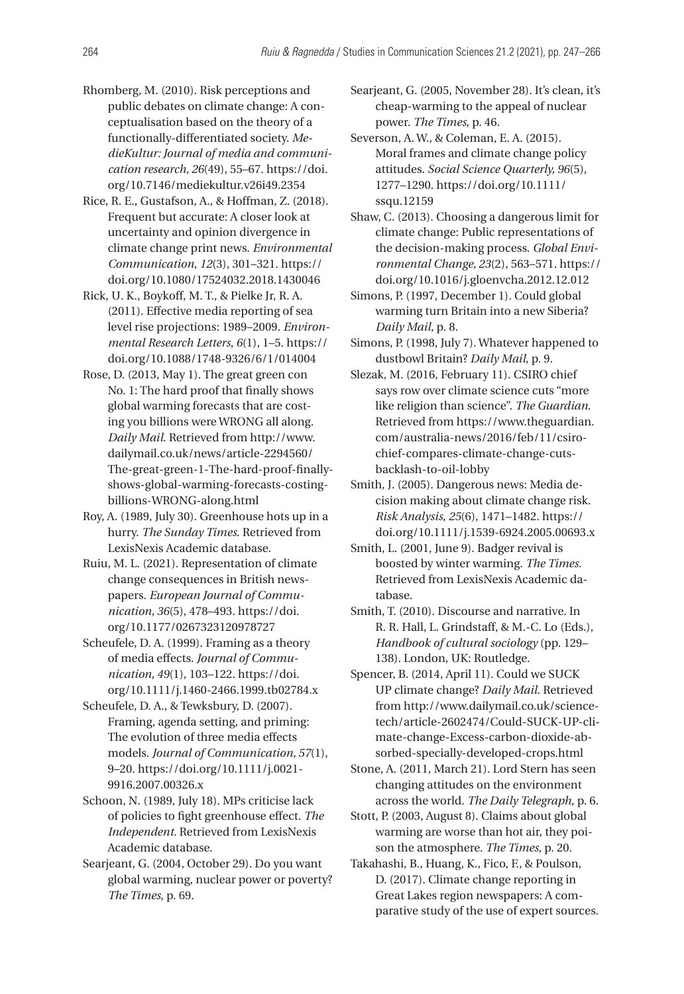- Rhomberg, M. (2010). Risk perceptions and public debates on climate change: A conceptualisation based on the theory of a functionally-differentiated society. *MedieKultur: Journal of media and communication research, 26*(49), 55–67. [https://doi.](https://doi.org/10.7146/mediekultur.v26i49.2354) [org/10.7146/mediekultur.v26i49.2354](https://doi.org/10.7146/mediekultur.v26i49.2354)
- Rice, R. E., Gustafson, A., & Hoffman, Z. (2018). Frequent but accurate: A closer look at uncertainty and opinion divergence in climate change print news. *Environmental Communication*, *12*(3), 301–321. [https://](https://doi.org/10.1080/17524032.2018.1430046) [doi.org/10.1080/17524032.2018.1430046](https://doi.org/10.1080/17524032.2018.1430046)
- Rick, U. K., Boykoff, M. T., & Pielke Jr, R. A. (2011). Effective media reporting of sea level rise projections: 1989–2009. *Environmental Research Letters*, *6*(1), 1–5. [https://](https://doi.org/10.1088/1748-9326/6/1/014004) [doi.org/10.1088/1748-9326/6/1/014004](https://doi.org/10.1088/1748-9326/6/1/014004)
- Rose, D. (2013, May 1). The great green con No. 1: The hard proof that finally shows global warming forecasts that are costing you billions were WRONG all along. *Daily Mail*. Retrieved from [http://www.](http://www.dailymail.co.uk/news/article-2294560/The-great-green-1-The-hard-proof-finally-shows-global-warming-forecasts-costing-billions-WRONG-along.html) [dailymail.co.uk/news/article-2294560/](http://www.dailymail.co.uk/news/article-2294560/The-great-green-1-The-hard-proof-finally-shows-global-warming-forecasts-costing-billions-WRONG-along.html) [The-great-green-1-The-hard-proof-finally](http://www.dailymail.co.uk/news/article-2294560/The-great-green-1-The-hard-proof-finally-shows-global-warming-forecasts-costing-billions-WRONG-along.html)[shows-global-warming-forecasts-costing](http://www.dailymail.co.uk/news/article-2294560/The-great-green-1-The-hard-proof-finally-shows-global-warming-forecasts-costing-billions-WRONG-along.html)[billions-WRONG-along.html](http://www.dailymail.co.uk/news/article-2294560/The-great-green-1-The-hard-proof-finally-shows-global-warming-forecasts-costing-billions-WRONG-along.html)
- Roy, A. (1989, July 30). Greenhouse hots up in a hurry. *The Sunday Times*. Retrieved from LexisNexis Academic database.
- Ruiu, M. L. (2021). Representation of climate change consequences in British newspapers. *European Journal of Communication, 36*(5), 478–493. [https://doi.](https://doi.org/10.1177/0267323120978727) [org/10.1177/0267323120978727](https://doi.org/10.1177/0267323120978727)
- Scheufele, D. A. (1999). Framing as a theory of media effects. *Journal of Communication, 49*(1), 103–122. [https://doi.](https://doi.org/10.1111/j.1460-2466.1999.tb02784.x) [org/10.1111/j.1460-2466.1999.tb02784.x](https://doi.org/10.1111/j.1460-2466.1999.tb02784.x)
- Scheufele, D. A., & Tewksbury, D. (2007). Framing, agenda setting, and priming: The evolution of three media effects models. *Journal of Communication, 57*(1), 9–20. [https://doi.org/10.1111/j.0021-](https://doi.org/10.1111/j.0021-9916.2007.00326.x)[9916.2007.00326.x](https://doi.org/10.1111/j.0021-9916.2007.00326.x)
- Schoon, N. (1989, July 18). MPs criticise lack of policies to fight greenhouse effect. *The Independent*. Retrieved from LexisNexis Academic database.
- Searjeant, G. (2004, October 29). Do you want global warming, nuclear power or poverty? *The Times*, p. 69.

Searjeant, G. (2005, November 28). It's clean, it's cheap-warming to the appeal of nuclear power. *The Times*, p. 46.

Severson, A. W., & Coleman, E. A. (2015). Moral frames and climate change policy attitudes. *Social Science Quarterly, 96*(5), 1277–1290. [https://doi.org/10.1111/](https://doi.org/10.1111/ssqu.12159) [ssqu.12159](https://doi.org/10.1111/ssqu.12159)

- Shaw, C. (2013). Choosing a dangerous limit for climate change: Public representations of the decision-making process. *Global Environmental Change, 23*(2), 563–571. [https://](https://doi.org/10.1016/j.gloenvcha.2012.12.012) [doi.org/10.1016/j.gloenvcha.2012.12.012](https://doi.org/10.1016/j.gloenvcha.2012.12.012)
- Simons, P. (1997, December 1). Could global warming turn Britain into a new Siberia? *Daily Mail*, p. 8.
- Simons, P. (1998, July 7). Whatever happened to dustbowl Britain? *Daily Mail*, p. 9.
- Slezak, M. (2016, February 11). CSIRO chief says row over climate science cuts "more like religion than science". *The Guardian*. Retrieved from [https://www.theguardian.](https://www.theguardian.com/australia-news/2016/feb/11/csiro-chief-compares-climate-change-cuts-backlash-to-oil-lobby) [com/australia-news/2016/feb/11/csiro](https://www.theguardian.com/australia-news/2016/feb/11/csiro-chief-compares-climate-change-cuts-backlash-to-oil-lobby)[chief-compares-climate-change-cuts](https://www.theguardian.com/australia-news/2016/feb/11/csiro-chief-compares-climate-change-cuts-backlash-to-oil-lobby)[backlash-to-oil-lobby](https://www.theguardian.com/australia-news/2016/feb/11/csiro-chief-compares-climate-change-cuts-backlash-to-oil-lobby)
- Smith, J. (2005). Dangerous news: Media decision making about climate change risk. *Risk Analysis*, *25*(6), 1471–1482. [https://](https://doi.org/10.1111/j.1539-6924.2005.00693.x) [doi.org/10.1111/j.1539-6924.2005.00693.x](https://doi.org/10.1111/j.1539-6924.2005.00693.x)
- Smith, L. (2001, June 9). Badger revival is boosted by winter warming. *The Times*. Retrieved from LexisNexis Academic database.
- Smith, T. (2010). Discourse and narrative. In R. R. Hall, L. Grindstaff, & M.-C. Lo (Eds.), *Handbook of cultural sociology* (pp. 129– 138). London, UK: Routledge.
- Spencer, B. (2014, April 11). Could we SUCK UP climate change? *Daily Mail*. Retrieved from [http://www.dailymail.co.uk/science](http://www.dailymail.co.uk/sciencetech/article-2602474/Could-SUCK-UP-climate-change-Excess-carbon-dioxide-absorbed-specially-developed-crops.html)[tech/article-2602474/Could-SUCK-UP-cli](http://www.dailymail.co.uk/sciencetech/article-2602474/Could-SUCK-UP-climate-change-Excess-carbon-dioxide-absorbed-specially-developed-crops.html)[mate-change-Excess-carbon-dioxide-ab](http://www.dailymail.co.uk/sciencetech/article-2602474/Could-SUCK-UP-climate-change-Excess-carbon-dioxide-absorbed-specially-developed-crops.html)[sorbed-specially-developed-crops.html](http://www.dailymail.co.uk/sciencetech/article-2602474/Could-SUCK-UP-climate-change-Excess-carbon-dioxide-absorbed-specially-developed-crops.html)
- Stone, A. (2011, March 21). Lord Stern has seen changing attitudes on the environment across the world. *The Daily Telegraph*, p. 6.
- Stott, P. (2003, August 8). Claims about global warming are worse than hot air, they poison the atmosphere. *The Times*, p. 20.
- Takahashi, B., Huang, K., Fico, F., & Poulson, D. (2017). Climate change reporting in Great Lakes region newspapers: A comparative study of the use of expert sources.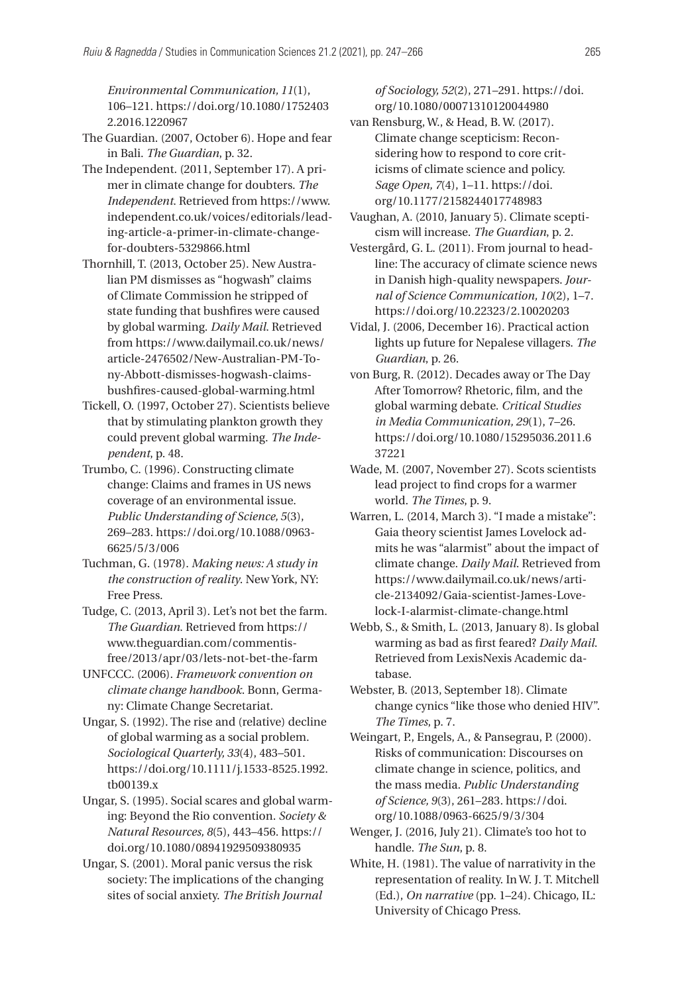*Environmental Communication, 11*(1), 106–121. [https://doi.org/10.1080/1752403](https://doi.org/10.1080/17524032.2016.1220967) [2.2016.1220967](https://doi.org/10.1080/17524032.2016.1220967)

- The Guardian. (2007, October 6). Hope and fear in Bali. *The Guardian*, p. 32.
- The Independent. (2011, September 17). A primer in climate change for doubters. *The Independent*. Retrieved from [https://www.](https://www.independent.co.uk/voices/editorials/leading-article-a-primer-in-climate-change-for-doubters-5329866.html) [independent.co.uk/voices/editorials/lead](https://www.independent.co.uk/voices/editorials/leading-article-a-primer-in-climate-change-for-doubters-5329866.html)[ing-article-a-primer-in-climate-change](https://www.independent.co.uk/voices/editorials/leading-article-a-primer-in-climate-change-for-doubters-5329866.html)[for-doubters-5329866.html](https://www.independent.co.uk/voices/editorials/leading-article-a-primer-in-climate-change-for-doubters-5329866.html)
- Thornhill, T. (2013, October 25). New Australian PM dismisses as "hogwash" claims of Climate Commission he stripped of state funding that bushfires were caused by global warming. *Daily Mail*. Retrieved from [https://www.dailymail.co.uk/news/](https://www.dailymail.co.uk/news/article-2476502/New-Australian-PM-Tony-Abbott-dismisses-hogwash-claims-bushfires-caused-global-warming.html) [article-2476502/New-Australian-PM-To](https://www.dailymail.co.uk/news/article-2476502/New-Australian-PM-Tony-Abbott-dismisses-hogwash-claims-bushfires-caused-global-warming.html)[ny-Abbott-dismisses-hogwash-claims](https://www.dailymail.co.uk/news/article-2476502/New-Australian-PM-Tony-Abbott-dismisses-hogwash-claims-bushfires-caused-global-warming.html)[bushfires-caused-global-warming.html](https://www.dailymail.co.uk/news/article-2476502/New-Australian-PM-Tony-Abbott-dismisses-hogwash-claims-bushfires-caused-global-warming.html)
- Tickell, O. (1997, October 27). Scientists believe that by stimulating plankton growth they could prevent global warming. *The Independent*, p. 48.
- Trumbo, C. (1996). Constructing climate change: Claims and frames in US news coverage of an environmental issue. *Public Understanding of Science, 5*(3), 269–283. [https://doi.org/10.1088/0963-](https://doi.org/10.1088/0963-6625/5/3/006)[6625/5/3/006](https://doi.org/10.1088/0963-6625/5/3/006)
- Tuchman, G. (1978). *Making news: A study in the construction of reality*. New York, NY: Free Press.
- Tudge, C. (2013, April 3). Let's not bet the farm. *The Guardian*. Retrieved from [https://](https://www.theguardian.com/commentisfree/2013/apr/03/lets-not-bet-the-farm) [www.theguardian.com/commentis](https://www.theguardian.com/commentisfree/2013/apr/03/lets-not-bet-the-farm)[free/2013/apr/03/lets-not-bet-the-farm](https://www.theguardian.com/commentisfree/2013/apr/03/lets-not-bet-the-farm)
- UNFCCC. (2006). *Framework convention on climate change handbook*. Bonn, Germany: Climate Change Secretariat.
- Ungar, S. (1992). The rise and (relative) decline of global warming as a social problem. *Sociological Quarterly, 33*(4), 483–501. [https://doi.org/10.1111/j.1533-8525.1992.](https://doi.org/10.1111/j.1533-8525.1992.tb00139.x) [tb00139.x](https://doi.org/10.1111/j.1533-8525.1992.tb00139.x)
- Ungar, S. (1995). Social scares and global warming: Beyond the Rio convention. *Society & Natural Resources, 8*(5), 443–456. [https://](https://doi.org/10.1080/08941929509380935) [doi.org/10.1080/08941929509380935](https://doi.org/10.1080/08941929509380935)
- Ungar, S. (2001). Moral panic versus the risk society: The implications of the changing sites of social anxiety. *The British Journal*

*of Sociology, 52*(2), 271–291. [https://doi.](https://doi.org/10.1080/00071310120044980) [org/10.1080/00071310120044980](https://doi.org/10.1080/00071310120044980)

- van Rensburg, W., & Head, B. W. (2017). Climate change scepticism: Reconsidering how to respond to core criticisms of climate science and policy. *Sage Open, 7*(4), 1–11. [https://doi.](https://doi.org/10.1177/2158244017748983) [org/10.1177/2158244017748983](https://doi.org/10.1177/2158244017748983)
- Vaughan, A. (2010, January 5). Climate scepticism will increase. *The Guardian*, p. 2.
- Vestergård, G. L. (2011). From journal to headline: The accuracy of climate science news in Danish high-quality newspapers. *Journal of Science Communication, 10*(2), 1–7. <https://doi.org/10.22323/2.10020203>
- Vidal, J. (2006, December 16). Practical action lights up future for Nepalese villagers. *The Guardian*, p. 26.
- von Burg, R. (2012). Decades away or The Day After Tomorrow? Rhetoric, film, and the global warming debate. *Critical Studies in Media Communication, 29*(1), 7–26. [https://doi.org/10.1080/15295036.2011.6](https://doi.org/10.1080/15295036.2011.637221) [37221](https://doi.org/10.1080/15295036.2011.637221)
- Wade, M. (2007, November 27). Scots scientists lead project to find crops for a warmer world. *The Times*, p. 9.
- Warren, L. (2014, March 3). "I made a mistake": Gaia theory scientist James Lovelock admits he was "alarmist" about the impact of climate change. *Daily Mail*. Retrieved from [https://www.dailymail.co.uk/news/arti](https://www.dailymail.co.uk/news/article-2134092/Gaia-scientist-James-Lovelock-I-alarmist-climate-change.html)[cle-2134092/Gaia-scientist-James-Love](https://www.dailymail.co.uk/news/article-2134092/Gaia-scientist-James-Lovelock-I-alarmist-climate-change.html)[lock-I-alarmist-climate-change.html](https://www.dailymail.co.uk/news/article-2134092/Gaia-scientist-James-Lovelock-I-alarmist-climate-change.html)
- Webb, S., & Smith, L. (2013, January 8). Is global warming as bad as first feared? *Daily Mail*. Retrieved from LexisNexis Academic database.
- Webster, B. (2013, September 18). Climate change cynics "like those who denied HIV". *The Times*, p. 7.
- Weingart, P., Engels, A., & Pansegrau, P. (2000). Risks of communication: Discourses on climate change in science, politics, and the mass media. *Public Understanding of Science, 9*(3), 261–283. [https://doi.](https://doi.org/10.1088/0963-6625/9/3/304) [org/10.1088/0963-6625/9/3/304](https://doi.org/10.1088/0963-6625/9/3/304)
- Wenger, J. (2016, July 21). Climate's too hot to handle. *The Sun*, p. 8.
- White, H. (1981). The value of narrativity in the representation of reality. In W. J. T. Mitchell (Ed.), *On narrative* (pp. 1–24). Chicago, IL: University of Chicago Press.